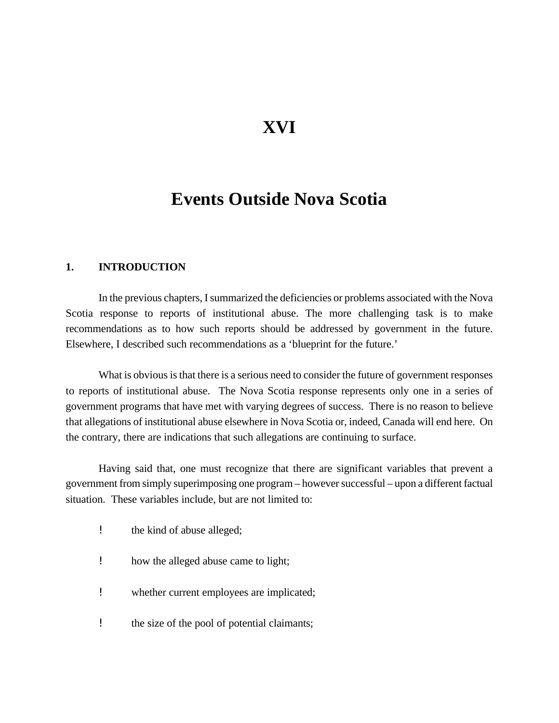# **XVI**

# **Events Outside Nova Scotia**

# **1. INTRODUCTION**

In the previous chapters, I summarized the deficiencies or problems associated with the Nova Scotia response to reports of institutional abuse. The more challenging task is to make recommendations as to how such reports should be addressed by government in the future. Elsewhere, I described such recommendations as a 'blueprint for the future.'

What is obvious is that there is a serious need to consider the future of government responses to reports of institutional abuse. The Nova Scotia response represents only one in a series of government programs that have met with varying degrees of success. There is no reason to believe that allegations of institutional abuse elsewhere in Nova Scotia or, indeed, Canada will end here. On the contrary, there are indications that such allegations are continuing to surface.

Having said that, one must recognize that there are significant variables that prevent a government from simply superimposing one program – however successful – upon a different factual situation. These variables include, but are not limited to:

- ! the kind of abuse alleged;
- ! how the alleged abuse came to light;
- ! whether current employees are implicated;
- ! the size of the pool of potential claimants;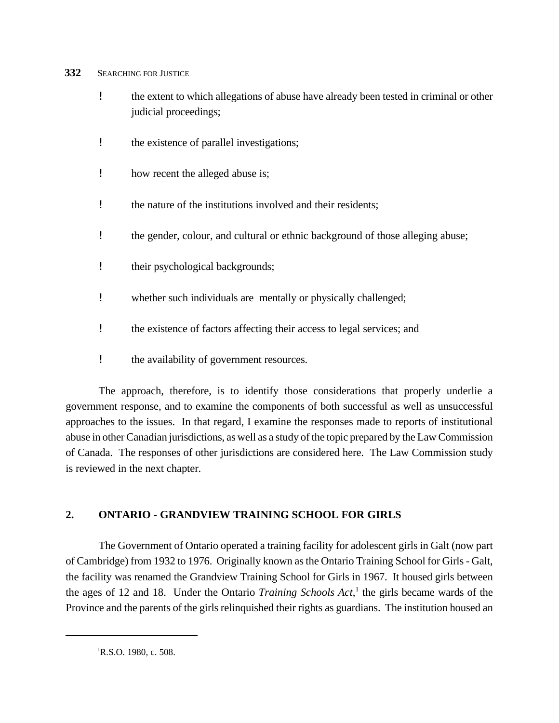- ! the extent to which allegations of abuse have already been tested in criminal or other judicial proceedings;
- ! the existence of parallel investigations;
- ! how recent the alleged abuse is;
- ! the nature of the institutions involved and their residents;
- ! the gender, colour, and cultural or ethnic background of those alleging abuse;
- ! their psychological backgrounds;
- ! whether such individuals are mentally or physically challenged;
- ! the existence of factors affecting their access to legal services; and
- ! the availability of government resources.

The approach, therefore, is to identify those considerations that properly underlie a government response, and to examine the components of both successful as well as unsuccessful approaches to the issues. In that regard, I examine the responses made to reports of institutional abuse in other Canadian jurisdictions, as well as a study of the topic prepared by the Law Commission of Canada. The responses of other jurisdictions are considered here. The Law Commission study is reviewed in the next chapter.

# **2. ONTARIO - GRANDVIEW TRAINING SCHOOL FOR GIRLS**

The Government of Ontario operated a training facility for adolescent girls in Galt (now part of Cambridge) from 1932 to 1976. Originally known as the Ontario Training School for Girls - Galt, the facility was renamed the Grandview Training School for Girls in 1967. It housed girls between the ages of 12 and 18. Under the Ontario *Training Schools Act*, 1 the girls became wards of the Province and the parents of the girls relinquished their rights as guardians. The institution housed an

<sup>&</sup>lt;sup>1</sup>R.S.O. 1980, c. 508.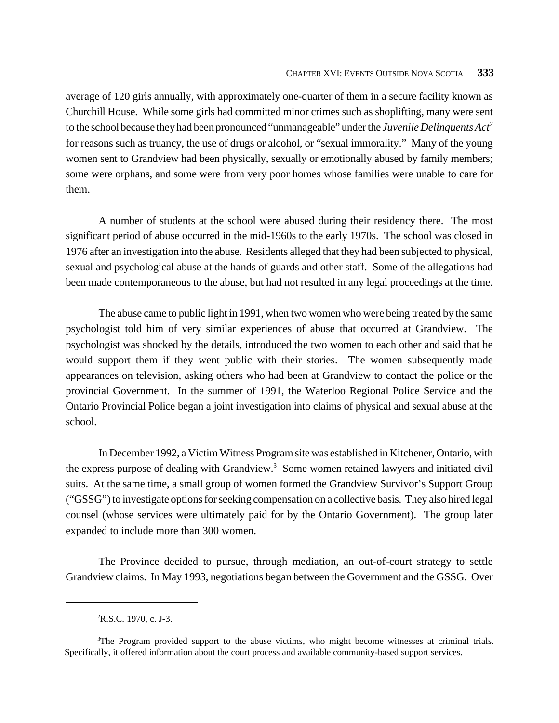average of 120 girls annually, with approximately one-quarter of them in a secure facility known as Churchill House. While some girls had committed minor crimes such as shoplifting, many were sent to the school because they had been pronounced "unmanageable" under the *Juvenile Delinquents Act<sup>2</sup>* for reasons such as truancy, the use of drugs or alcohol, or "sexual immorality." Many of the young women sent to Grandview had been physically, sexually or emotionally abused by family members; some were orphans, and some were from very poor homes whose families were unable to care for them.

A number of students at the school were abused during their residency there. The most significant period of abuse occurred in the mid-1960s to the early 1970s. The school was closed in 1976 after an investigation into the abuse. Residents alleged that they had been subjected to physical, sexual and psychological abuse at the hands of guards and other staff. Some of the allegations had been made contemporaneous to the abuse, but had not resulted in any legal proceedings at the time.

The abuse came to public light in 1991, when two women who were being treated by the same psychologist told him of very similar experiences of abuse that occurred at Grandview. The psychologist was shocked by the details, introduced the two women to each other and said that he would support them if they went public with their stories. The women subsequently made appearances on television, asking others who had been at Grandview to contact the police or the provincial Government. In the summer of 1991, the Waterloo Regional Police Service and the Ontario Provincial Police began a joint investigation into claims of physical and sexual abuse at the school.

In December 1992, a Victim Witness Program site was established in Kitchener, Ontario, with the express purpose of dealing with Grandview.<sup>3</sup> Some women retained lawyers and initiated civil suits. At the same time, a small group of women formed the Grandview Survivor's Support Group ("GSSG") to investigate options for seeking compensation on a collective basis. They also hired legal counsel (whose services were ultimately paid for by the Ontario Government). The group later expanded to include more than 300 women.

The Province decided to pursue, through mediation, an out-of-court strategy to settle Grandview claims. In May 1993, negotiations began between the Government and the GSSG. Over

 ${}^{2}R.S.C.$  1970, c. J-3.

<sup>&</sup>lt;sup>3</sup>The Program provided support to the abuse victims, who might become witnesses at criminal trials. Specifically, it offered information about the court process and available community-based support services.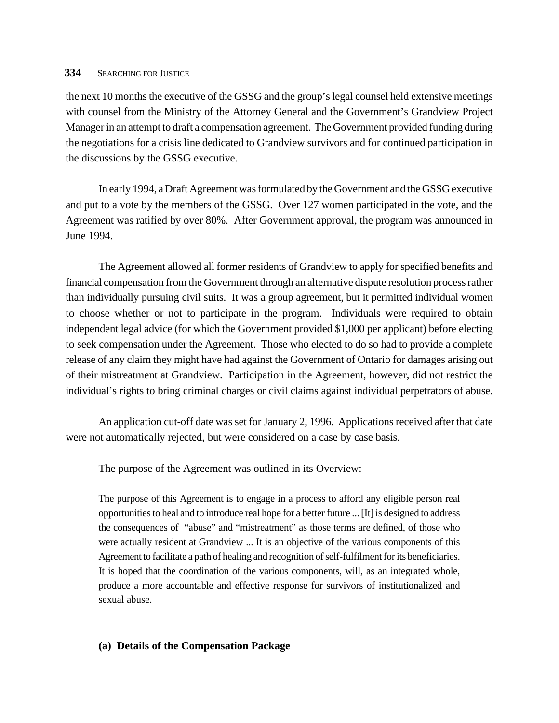the next 10 months the executive of the GSSG and the group's legal counsel held extensive meetings with counsel from the Ministry of the Attorney General and the Government's Grandview Project Manager in an attempt to draft a compensation agreement. The Government provided funding during the negotiations for a crisis line dedicated to Grandview survivors and for continued participation in the discussions by the GSSG executive.

In early 1994, a Draft Agreement was formulated by the Government and the GSSG executive and put to a vote by the members of the GSSG. Over 127 women participated in the vote, and the Agreement was ratified by over 80%. After Government approval, the program was announced in June 1994.

The Agreement allowed all former residents of Grandview to apply for specified benefits and financial compensation from the Government through an alternative dispute resolution process rather than individually pursuing civil suits. It was a group agreement, but it permitted individual women to choose whether or not to participate in the program. Individuals were required to obtain independent legal advice (for which the Government provided \$1,000 per applicant) before electing to seek compensation under the Agreement. Those who elected to do so had to provide a complete release of any claim they might have had against the Government of Ontario for damages arising out of their mistreatment at Grandview. Participation in the Agreement, however, did not restrict the individual's rights to bring criminal charges or civil claims against individual perpetrators of abuse.

An application cut-off date was set for January 2, 1996. Applications received after that date were not automatically rejected, but were considered on a case by case basis.

The purpose of the Agreement was outlined in its Overview:

The purpose of this Agreement is to engage in a process to afford any eligible person real opportunities to heal and to introduce real hope for a better future ... [It] is designed to address the consequences of "abuse" and "mistreatment" as those terms are defined, of those who were actually resident at Grandview ... It is an objective of the various components of this Agreement to facilitate a path of healing and recognition of self-fulfilment for its beneficiaries. It is hoped that the coordination of the various components, will, as an integrated whole, produce a more accountable and effective response for survivors of institutionalized and sexual abuse.

#### **(a) Details of the Compensation Package**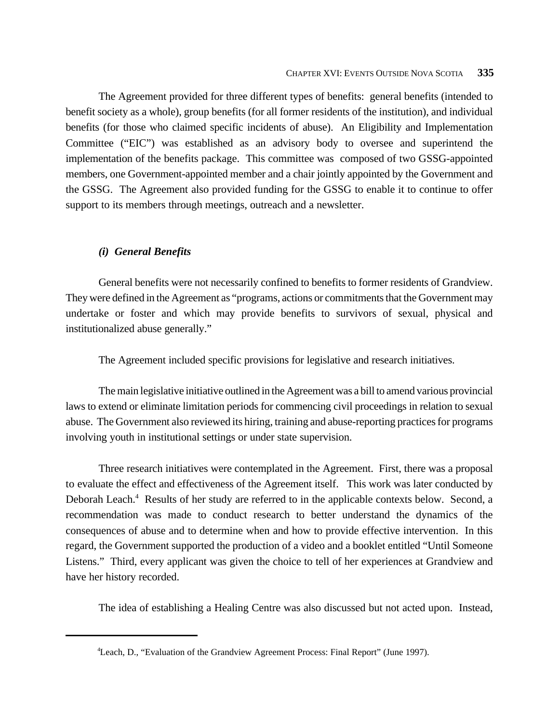The Agreement provided for three different types of benefits: general benefits (intended to benefit society as a whole), group benefits (for all former residents of the institution), and individual benefits (for those who claimed specific incidents of abuse). An Eligibility and Implementation Committee ("EIC") was established as an advisory body to oversee and superintend the implementation of the benefits package. This committee was composed of two GSSG-appointed members, one Government-appointed member and a chair jointly appointed by the Government and the GSSG. The Agreement also provided funding for the GSSG to enable it to continue to offer support to its members through meetings, outreach and a newsletter.

#### *(i) General Benefits*

General benefits were not necessarily confined to benefits to former residents of Grandview. They were defined in the Agreement as "programs, actions or commitments that the Government may undertake or foster and which may provide benefits to survivors of sexual, physical and institutionalized abuse generally."

The Agreement included specific provisions for legislative and research initiatives.

The main legislative initiative outlined in the Agreement was a bill to amend various provincial laws to extend or eliminate limitation periods for commencing civil proceedings in relation to sexual abuse. The Government also reviewed its hiring, training and abuse-reporting practices for programs involving youth in institutional settings or under state supervision.

Three research initiatives were contemplated in the Agreement. First, there was a proposal to evaluate the effect and effectiveness of the Agreement itself. This work was later conducted by Deborah Leach.<sup>4</sup> Results of her study are referred to in the applicable contexts below. Second, a recommendation was made to conduct research to better understand the dynamics of the consequences of abuse and to determine when and how to provide effective intervention. In this regard, the Government supported the production of a video and a booklet entitled "Until Someone Listens." Third, every applicant was given the choice to tell of her experiences at Grandview and have her history recorded.

The idea of establishing a Healing Centre was also discussed but not acted upon. Instead,

<sup>4</sup>Leach, D., "Evaluation of the Grandview Agreement Process: Final Report" (June 1997).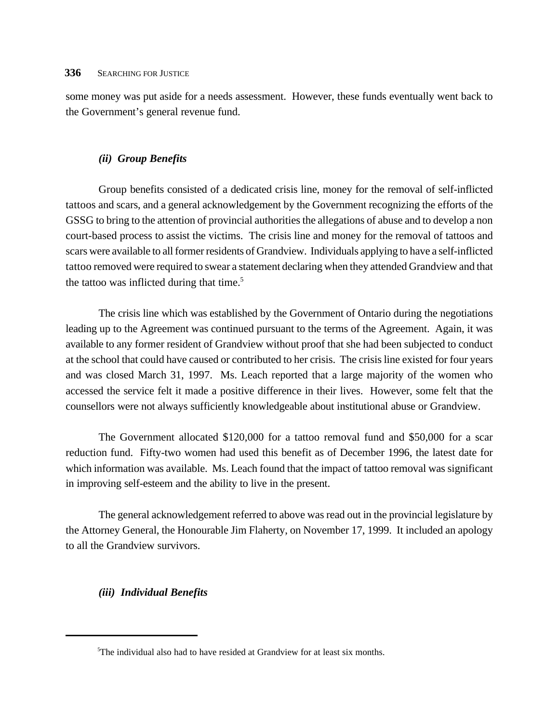some money was put aside for a needs assessment. However, these funds eventually went back to the Government's general revenue fund.

# *(ii) Group Benefits*

Group benefits consisted of a dedicated crisis line, money for the removal of self-inflicted tattoos and scars, and a general acknowledgement by the Government recognizing the efforts of the GSSG to bring to the attention of provincial authorities the allegations of abuse and to develop a non court-based process to assist the victims. The crisis line and money for the removal of tattoos and scars were available to all former residents of Grandview. Individuals applying to have a self-inflicted tattoo removed were required to swear a statement declaring when they attended Grandview and that the tattoo was inflicted during that time. $5$ 

The crisis line which was established by the Government of Ontario during the negotiations leading up to the Agreement was continued pursuant to the terms of the Agreement. Again, it was available to any former resident of Grandview without proof that she had been subjected to conduct at the school that could have caused or contributed to her crisis. The crisis line existed for four years and was closed March 31, 1997. Ms. Leach reported that a large majority of the women who accessed the service felt it made a positive difference in their lives. However, some felt that the counsellors were not always sufficiently knowledgeable about institutional abuse or Grandview.

The Government allocated \$120,000 for a tattoo removal fund and \$50,000 for a scar reduction fund. Fifty-two women had used this benefit as of December 1996, the latest date for which information was available. Ms. Leach found that the impact of tattoo removal was significant in improving self-esteem and the ability to live in the present.

The general acknowledgement referred to above was read out in the provincial legislature by the Attorney General, the Honourable Jim Flaherty, on November 17, 1999. It included an apology to all the Grandview survivors.

# *(iii) Individual Benefits*

<sup>5</sup>The individual also had to have resided at Grandview for at least six months.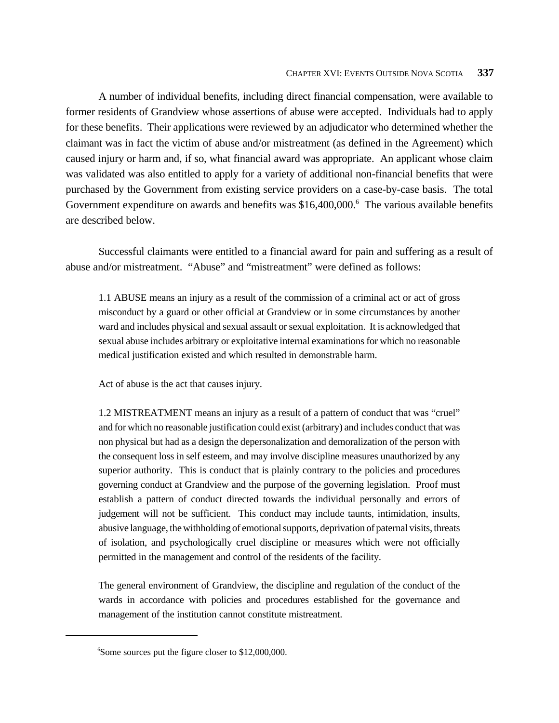A number of individual benefits, including direct financial compensation, were available to former residents of Grandview whose assertions of abuse were accepted. Individuals had to apply for these benefits. Their applications were reviewed by an adjudicator who determined whether the claimant was in fact the victim of abuse and/or mistreatment (as defined in the Agreement) which caused injury or harm and, if so, what financial award was appropriate. An applicant whose claim was validated was also entitled to apply for a variety of additional non-financial benefits that were purchased by the Government from existing service providers on a case-by-case basis. The total Government expenditure on awards and benefits was \$16,400,000.<sup>6</sup> The various available benefits are described below.

Successful claimants were entitled to a financial award for pain and suffering as a result of abuse and/or mistreatment. "Abuse" and "mistreatment" were defined as follows:

1.1 ABUSE means an injury as a result of the commission of a criminal act or act of gross misconduct by a guard or other official at Grandview or in some circumstances by another ward and includes physical and sexual assault or sexual exploitation. It is acknowledged that sexual abuse includes arbitrary or exploitative internal examinations for which no reasonable medical justification existed and which resulted in demonstrable harm.

Act of abuse is the act that causes injury.

1.2 MISTREATMENT means an injury as a result of a pattern of conduct that was "cruel" and for which no reasonable justification could exist (arbitrary) and includes conduct that was non physical but had as a design the depersonalization and demoralization of the person with the consequent loss in self esteem, and may involve discipline measures unauthorized by any superior authority. This is conduct that is plainly contrary to the policies and procedures governing conduct at Grandview and the purpose of the governing legislation. Proof must establish a pattern of conduct directed towards the individual personally and errors of judgement will not be sufficient. This conduct may include taunts, intimidation, insults, abusive language, the withholding of emotional supports, deprivation of paternal visits, threats of isolation, and psychologically cruel discipline or measures which were not officially permitted in the management and control of the residents of the facility.

The general environment of Grandview, the discipline and regulation of the conduct of the wards in accordance with policies and procedures established for the governance and management of the institution cannot constitute mistreatment.

<sup>&</sup>lt;sup>6</sup>Some sources put the figure closer to \$12,000,000.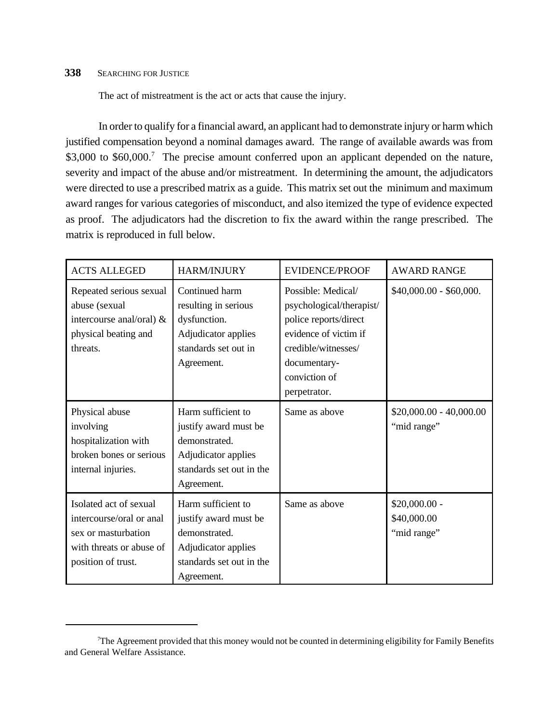The act of mistreatment is the act or acts that cause the injury.

In order to qualify for a financial award, an applicant had to demonstrate injury or harm which justified compensation beyond a nominal damages award. The range of available awards was from  $$3,000$  to  $$60,000$ .<sup>7</sup> The precise amount conferred upon an applicant depended on the nature, severity and impact of the abuse and/or mistreatment. In determining the amount, the adjudicators were directed to use a prescribed matrix as a guide. This matrix set out the minimum and maximum award ranges for various categories of misconduct, and also itemized the type of evidence expected as proof. The adjudicators had the discretion to fix the award within the range prescribed. The matrix is reproduced in full below.

| <b>ACTS ALLEGED</b>                                                                                                         | <b>HARM/INJURY</b>                                                                                                            | <b>EVIDENCE/PROOF</b>                                                                                                                                                    | <b>AWARD RANGE</b>                           |
|-----------------------------------------------------------------------------------------------------------------------------|-------------------------------------------------------------------------------------------------------------------------------|--------------------------------------------------------------------------------------------------------------------------------------------------------------------------|----------------------------------------------|
| Repeated serious sexual<br>abuse (sexual<br>intercourse anal/oral) $\&$<br>physical beating and<br>threats.                 | Continued harm<br>resulting in serious<br>dysfunction.<br>Adjudicator applies<br>standards set out in<br>Agreement.           | Possible: Medical/<br>psychological/therapist/<br>police reports/direct<br>evidence of victim if<br>credible/witnesses/<br>documentary-<br>conviction of<br>perpetrator. | $$40,000.00 - $60,000.$                      |
| Physical abuse<br>involving<br>hospitalization with<br>broken bones or serious<br>internal injuries.                        | Harm sufficient to<br>justify award must be<br>demonstrated.<br>Adjudicator applies<br>standards set out in the<br>Agreement. | Same as above                                                                                                                                                            | $$20,000.00 - 40,000.00$<br>"mid range"      |
| Isolated act of sexual<br>intercourse/oral or anal<br>sex or masturbation<br>with threats or abuse of<br>position of trust. | Harm sufficient to<br>justify award must be<br>demonstrated.<br>Adjudicator applies<br>standards set out in the<br>Agreement. | Same as above                                                                                                                                                            | $$20,000.00 -$<br>\$40,000.00<br>"mid range" |

 $T$ The Agreement provided that this money would not be counted in determining eligibility for Family Benefits and General Welfare Assistance.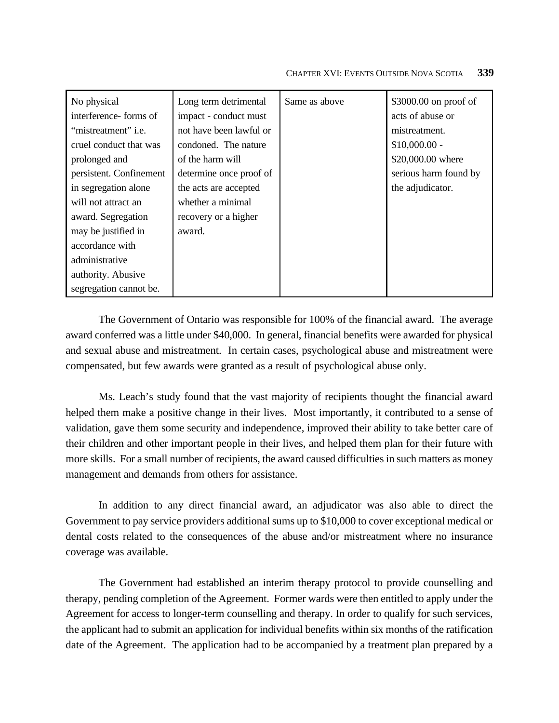| No physical<br>interference-forms of | Long term detrimental<br>impact - conduct must | Same as above | $$3000.00$ on proof of<br>acts of abuse or |
|--------------------------------------|------------------------------------------------|---------------|--------------------------------------------|
| "mistreatment" <i>i.e.</i>           | not have been lawful or                        |               | mistreatment.                              |
| cruel conduct that was               | condoned. The nature                           |               | $$10,000.00 -$                             |
| prolonged and                        | of the harm will                               |               | \$20,000.00 where                          |
| persistent. Confinement              | determine once proof of                        |               | serious harm found by                      |
| in segregation alone                 | the acts are accepted                          |               | the adjudicator.                           |
| will not attract an                  | whether a minimal                              |               |                                            |
| award. Segregation                   | recovery or a higher                           |               |                                            |
| may be justified in                  | award.                                         |               |                                            |
| accordance with                      |                                                |               |                                            |
| administrative                       |                                                |               |                                            |
| authority. Abusive                   |                                                |               |                                            |
| segregation cannot be.               |                                                |               |                                            |

The Government of Ontario was responsible for 100% of the financial award. The average award conferred was a little under \$40,000. In general, financial benefits were awarded for physical and sexual abuse and mistreatment. In certain cases, psychological abuse and mistreatment were compensated, but few awards were granted as a result of psychological abuse only.

Ms. Leach's study found that the vast majority of recipients thought the financial award helped them make a positive change in their lives. Most importantly, it contributed to a sense of validation, gave them some security and independence, improved their ability to take better care of their children and other important people in their lives, and helped them plan for their future with more skills. For a small number of recipients, the award caused difficulties in such matters as money management and demands from others for assistance.

In addition to any direct financial award, an adjudicator was also able to direct the Government to pay service providers additional sums up to \$10,000 to cover exceptional medical or dental costs related to the consequences of the abuse and/or mistreatment where no insurance coverage was available.

The Government had established an interim therapy protocol to provide counselling and therapy, pending completion of the Agreement. Former wards were then entitled to apply under the Agreement for access to longer-term counselling and therapy. In order to qualify for such services, the applicant had to submit an application for individual benefits within six months of the ratification date of the Agreement. The application had to be accompanied by a treatment plan prepared by a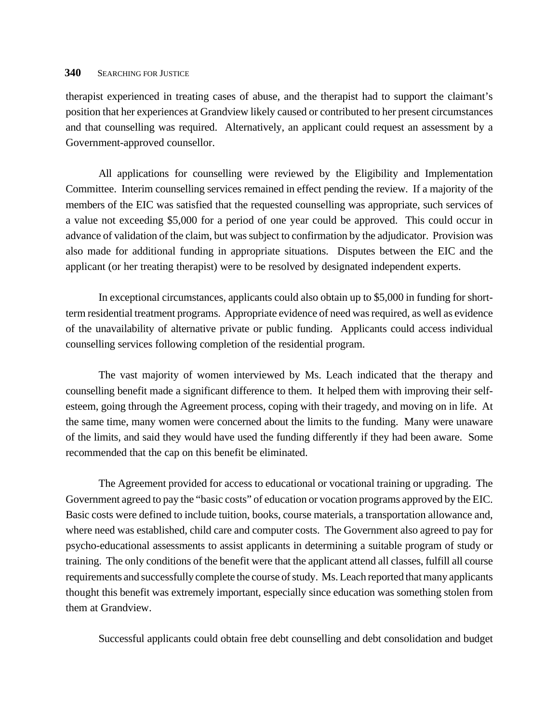therapist experienced in treating cases of abuse, and the therapist had to support the claimant's position that her experiences at Grandview likely caused or contributed to her present circumstances and that counselling was required. Alternatively, an applicant could request an assessment by a Government-approved counsellor.

All applications for counselling were reviewed by the Eligibility and Implementation Committee. Interim counselling services remained in effect pending the review. If a majority of the members of the EIC was satisfied that the requested counselling was appropriate, such services of a value not exceeding \$5,000 for a period of one year could be approved. This could occur in advance of validation of the claim, but was subject to confirmation by the adjudicator. Provision was also made for additional funding in appropriate situations. Disputes between the EIC and the applicant (or her treating therapist) were to be resolved by designated independent experts.

In exceptional circumstances, applicants could also obtain up to \$5,000 in funding for shortterm residential treatment programs. Appropriate evidence of need was required, as well as evidence of the unavailability of alternative private or public funding. Applicants could access individual counselling services following completion of the residential program.

The vast majority of women interviewed by Ms. Leach indicated that the therapy and counselling benefit made a significant difference to them. It helped them with improving their selfesteem, going through the Agreement process, coping with their tragedy, and moving on in life. At the same time, many women were concerned about the limits to the funding. Many were unaware of the limits, and said they would have used the funding differently if they had been aware. Some recommended that the cap on this benefit be eliminated.

The Agreement provided for access to educational or vocational training or upgrading. The Government agreed to pay the "basic costs" of education or vocation programs approved by the EIC. Basic costs were defined to include tuition, books, course materials, a transportation allowance and, where need was established, child care and computer costs. The Government also agreed to pay for psycho-educational assessments to assist applicants in determining a suitable program of study or training. The only conditions of the benefit were that the applicant attend all classes, fulfill all course requirements and successfully complete the course of study. Ms. Leach reported that many applicants thought this benefit was extremely important, especially since education was something stolen from them at Grandview.

Successful applicants could obtain free debt counselling and debt consolidation and budget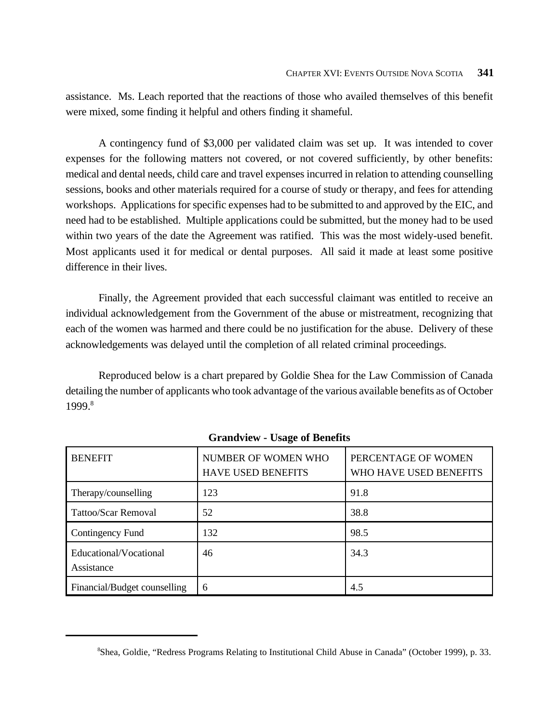assistance. Ms. Leach reported that the reactions of those who availed themselves of this benefit were mixed, some finding it helpful and others finding it shameful.

A contingency fund of \$3,000 per validated claim was set up. It was intended to cover expenses for the following matters not covered, or not covered sufficiently, by other benefits: medical and dental needs, child care and travel expenses incurred in relation to attending counselling sessions, books and other materials required for a course of study or therapy, and fees for attending workshops. Applications for specific expenses had to be submitted to and approved by the EIC, and need had to be established. Multiple applications could be submitted, but the money had to be used within two years of the date the Agreement was ratified. This was the most widely-used benefit. Most applicants used it for medical or dental purposes. All said it made at least some positive difference in their lives.

Finally, the Agreement provided that each successful claimant was entitled to receive an individual acknowledgement from the Government of the abuse or mistreatment, recognizing that each of the women was harmed and there could be no justification for the abuse. Delivery of these acknowledgements was delayed until the completion of all related criminal proceedings.

Reproduced below is a chart prepared by Goldie Shea for the Law Commission of Canada detailing the number of applicants who took advantage of the various available benefits as of October 1999.<sup>8</sup>

| <b>BENEFIT</b>                       | NUMBER OF WOMEN WHO<br><b>HAVE USED BENEFITS</b> | PERCENTAGE OF WOMEN<br>WHO HAVE USED BENEFITS |
|--------------------------------------|--------------------------------------------------|-----------------------------------------------|
| Therapy/counselling                  | 123                                              | 91.8                                          |
| <b>Tattoo/Scar Removal</b>           | 52                                               | 38.8                                          |
| Contingency Fund                     | 132                                              | 98.5                                          |
| Educational/Vocational<br>Assistance | 46                                               | 34.3                                          |
| Financial/Budget counselling         | 6                                                | 4.5                                           |

# **Grandview - Usage of Benefits**

<sup>8</sup>Shea, Goldie, "Redress Programs Relating to Institutional Child Abuse in Canada" (October 1999), p. 33.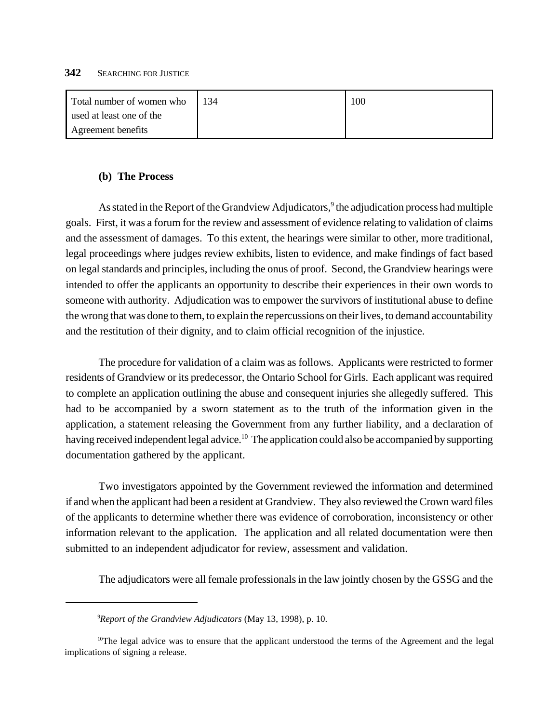| Total number of women who | 134 | 100 |
|---------------------------|-----|-----|
| used at least one of the  |     |     |
| Agreement benefits        |     |     |

### **(b) The Process**

As stated in the Report of the Grandview Adjudicators,<sup>9</sup> the adjudication process had multiple goals. First, it was a forum for the review and assessment of evidence relating to validation of claims and the assessment of damages. To this extent, the hearings were similar to other, more traditional, legal proceedings where judges review exhibits, listen to evidence, and make findings of fact based on legal standards and principles, including the onus of proof. Second, the Grandview hearings were intended to offer the applicants an opportunity to describe their experiences in their own words to someone with authority. Adjudication was to empower the survivors of institutional abuse to define the wrong that was done to them, to explain the repercussions on their lives, to demand accountability and the restitution of their dignity, and to claim official recognition of the injustice.

The procedure for validation of a claim was as follows. Applicants were restricted to former residents of Grandview or its predecessor, the Ontario School for Girls. Each applicant was required to complete an application outlining the abuse and consequent injuries she allegedly suffered. This had to be accompanied by a sworn statement as to the truth of the information given in the application, a statement releasing the Government from any further liability, and a declaration of having received independent legal advice.<sup>10</sup> The application could also be accompanied by supporting documentation gathered by the applicant.

Two investigators appointed by the Government reviewed the information and determined if and when the applicant had been a resident at Grandview. They also reviewed the Crown ward files of the applicants to determine whether there was evidence of corroboration, inconsistency or other information relevant to the application. The application and all related documentation were then submitted to an independent adjudicator for review, assessment and validation.

The adjudicators were all female professionals in the law jointly chosen by the GSSG and the

<sup>9</sup>*Report of the Grandview Adjudicators* (May 13, 1998), p. 10.

 $10$ The legal advice was to ensure that the applicant understood the terms of the Agreement and the legal implications of signing a release.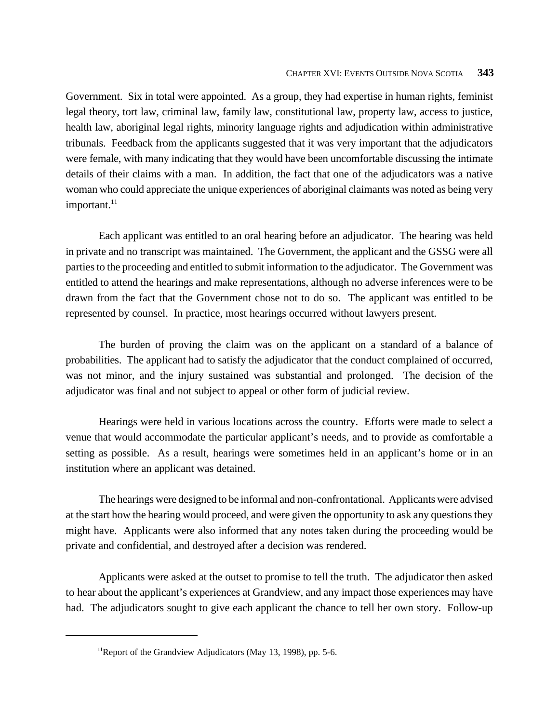Government. Six in total were appointed. As a group, they had expertise in human rights, feminist legal theory, tort law, criminal law, family law, constitutional law, property law, access to justice, health law, aboriginal legal rights, minority language rights and adjudication within administrative tribunals. Feedback from the applicants suggested that it was very important that the adjudicators were female, with many indicating that they would have been uncomfortable discussing the intimate details of their claims with a man. In addition, the fact that one of the adjudicators was a native woman who could appreciate the unique experiences of aboriginal claimants was noted as being very important. $^{11}$ 

Each applicant was entitled to an oral hearing before an adjudicator. The hearing was held in private and no transcript was maintained. The Government, the applicant and the GSSG were all parties to the proceeding and entitled to submit information to the adjudicator. The Government was entitled to attend the hearings and make representations, although no adverse inferences were to be drawn from the fact that the Government chose not to do so. The applicant was entitled to be represented by counsel. In practice, most hearings occurred without lawyers present.

The burden of proving the claim was on the applicant on a standard of a balance of probabilities. The applicant had to satisfy the adjudicator that the conduct complained of occurred, was not minor, and the injury sustained was substantial and prolonged. The decision of the adjudicator was final and not subject to appeal or other form of judicial review.

Hearings were held in various locations across the country. Efforts were made to select a venue that would accommodate the particular applicant's needs, and to provide as comfortable a setting as possible. As a result, hearings were sometimes held in an applicant's home or in an institution where an applicant was detained.

The hearings were designed to be informal and non-confrontational. Applicants were advised at the start how the hearing would proceed, and were given the opportunity to ask any questions they might have. Applicants were also informed that any notes taken during the proceeding would be private and confidential, and destroyed after a decision was rendered.

Applicants were asked at the outset to promise to tell the truth. The adjudicator then asked to hear about the applicant's experiences at Grandview, and any impact those experiences may have had. The adjudicators sought to give each applicant the chance to tell her own story. Follow-up

<sup>&</sup>lt;sup>11</sup>Report of the Grandview Adjudicators (May 13, 1998), pp. 5-6.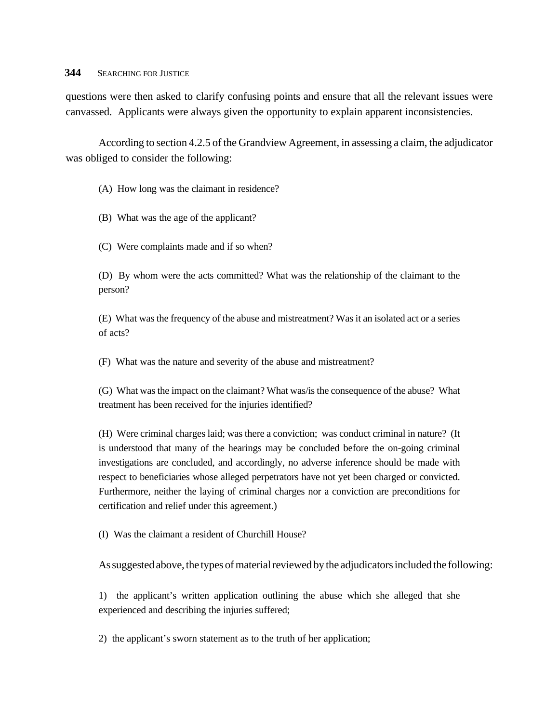questions were then asked to clarify confusing points and ensure that all the relevant issues were canvassed. Applicants were always given the opportunity to explain apparent inconsistencies.

According to section 4.2.5 of the Grandview Agreement, in assessing a claim, the adjudicator was obliged to consider the following:

(A) How long was the claimant in residence?

(B) What was the age of the applicant?

(C) Were complaints made and if so when?

(D) By whom were the acts committed? What was the relationship of the claimant to the person?

(E) What was the frequency of the abuse and mistreatment? Was it an isolated act or a series of acts?

(F) What was the nature and severity of the abuse and mistreatment?

(G) What was the impact on the claimant? What was/is the consequence of the abuse? What treatment has been received for the injuries identified?

(H) Were criminal charges laid; was there a conviction; was conduct criminal in nature? (It is understood that many of the hearings may be concluded before the on-going criminal investigations are concluded, and accordingly, no adverse inference should be made with respect to beneficiaries whose alleged perpetrators have not yet been charged or convicted. Furthermore, neither the laying of criminal charges nor a conviction are preconditions for certification and relief under this agreement.)

(I) Was the claimant a resident of Churchill House?

As suggested above, the types of material reviewed by the adjudicators included the following:

1) the applicant's written application outlining the abuse which she alleged that she experienced and describing the injuries suffered;

2) the applicant's sworn statement as to the truth of her application;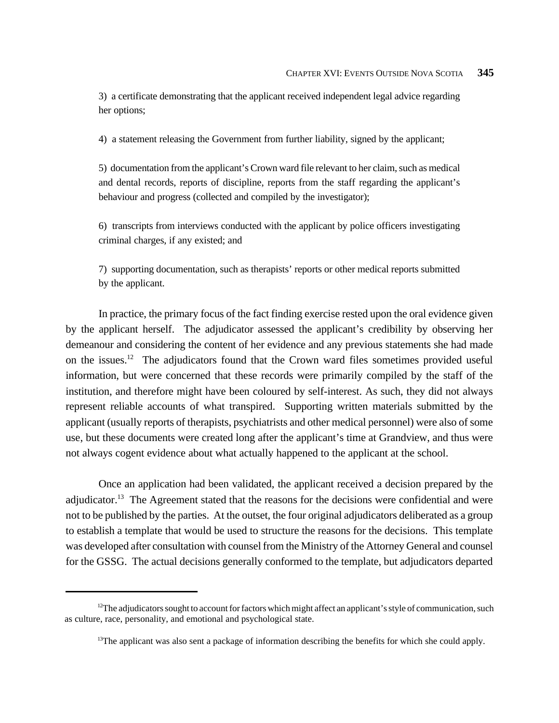3) a certificate demonstrating that the applicant received independent legal advice regarding her options;

4) a statement releasing the Government from further liability, signed by the applicant;

5) documentation from the applicant's Crown ward file relevant to her claim, such as medical and dental records, reports of discipline, reports from the staff regarding the applicant's behaviour and progress (collected and compiled by the investigator);

6) transcripts from interviews conducted with the applicant by police officers investigating criminal charges, if any existed; and

7) supporting documentation, such as therapists' reports or other medical reports submitted by the applicant.

In practice, the primary focus of the fact finding exercise rested upon the oral evidence given by the applicant herself. The adjudicator assessed the applicant's credibility by observing her demeanour and considering the content of her evidence and any previous statements she had made on the issues.<sup>12</sup> The adjudicators found that the Crown ward files sometimes provided useful information, but were concerned that these records were primarily compiled by the staff of the institution, and therefore might have been coloured by self-interest. As such, they did not always represent reliable accounts of what transpired. Supporting written materials submitted by the applicant (usually reports of therapists, psychiatrists and other medical personnel) were also of some use, but these documents were created long after the applicant's time at Grandview, and thus were not always cogent evidence about what actually happened to the applicant at the school.

Once an application had been validated, the applicant received a decision prepared by the adjudicator.<sup>13</sup> The Agreement stated that the reasons for the decisions were confidential and were not to be published by the parties. At the outset, the four original adjudicators deliberated as a group to establish a template that would be used to structure the reasons for the decisions. This template was developed after consultation with counsel from the Ministry of the Attorney General and counsel for the GSSG. The actual decisions generally conformed to the template, but adjudicators departed

 $12$ The adjudicators sought to account for factors which might affect an applicant's style of communication, such as culture, race, personality, and emotional and psychological state.

<sup>&</sup>lt;sup>13</sup>The applicant was also sent a package of information describing the benefits for which she could apply.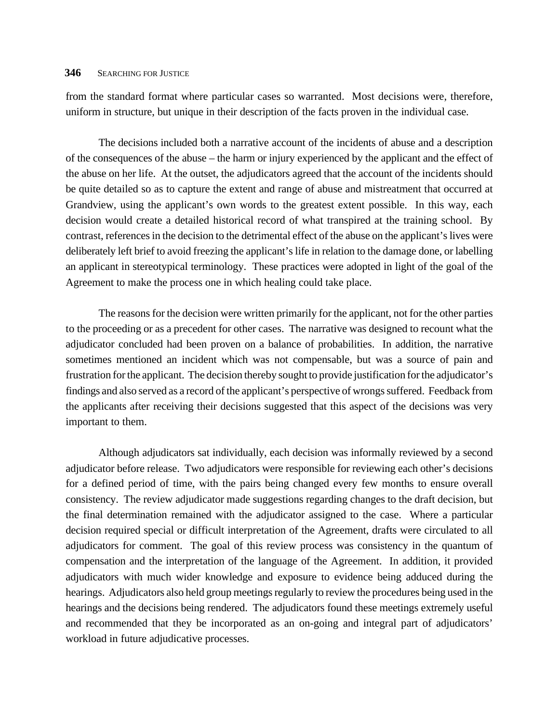from the standard format where particular cases so warranted. Most decisions were, therefore, uniform in structure, but unique in their description of the facts proven in the individual case.

The decisions included both a narrative account of the incidents of abuse and a description of the consequences of the abuse – the harm or injury experienced by the applicant and the effect of the abuse on her life. At the outset, the adjudicators agreed that the account of the incidents should be quite detailed so as to capture the extent and range of abuse and mistreatment that occurred at Grandview, using the applicant's own words to the greatest extent possible. In this way, each decision would create a detailed historical record of what transpired at the training school. By contrast, references in the decision to the detrimental effect of the abuse on the applicant's lives were deliberately left brief to avoid freezing the applicant's life in relation to the damage done, or labelling an applicant in stereotypical terminology. These practices were adopted in light of the goal of the Agreement to make the process one in which healing could take place.

The reasons for the decision were written primarily for the applicant, not for the other parties to the proceeding or as a precedent for other cases. The narrative was designed to recount what the adjudicator concluded had been proven on a balance of probabilities. In addition, the narrative sometimes mentioned an incident which was not compensable, but was a source of pain and frustration for the applicant. The decision thereby sought to provide justification for the adjudicator's findings and also served as a record of the applicant's perspective of wrongs suffered. Feedback from the applicants after receiving their decisions suggested that this aspect of the decisions was very important to them.

Although adjudicators sat individually, each decision was informally reviewed by a second adjudicator before release. Two adjudicators were responsible for reviewing each other's decisions for a defined period of time, with the pairs being changed every few months to ensure overall consistency. The review adjudicator made suggestions regarding changes to the draft decision, but the final determination remained with the adjudicator assigned to the case. Where a particular decision required special or difficult interpretation of the Agreement, drafts were circulated to all adjudicators for comment. The goal of this review process was consistency in the quantum of compensation and the interpretation of the language of the Agreement. In addition, it provided adjudicators with much wider knowledge and exposure to evidence being adduced during the hearings. Adjudicators also held group meetings regularly to review the procedures being used in the hearings and the decisions being rendered. The adjudicators found these meetings extremely useful and recommended that they be incorporated as an on-going and integral part of adjudicators' workload in future adjudicative processes.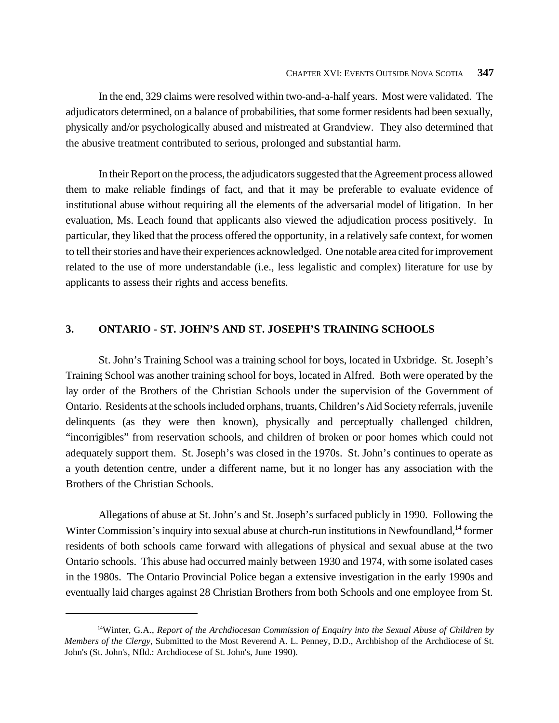In the end, 329 claims were resolved within two-and-a-half years. Most were validated. The adjudicators determined, on a balance of probabilities, that some former residents had been sexually, physically and/or psychologically abused and mistreated at Grandview. They also determined that the abusive treatment contributed to serious, prolonged and substantial harm.

In their Report on the process, the adjudicators suggested that the Agreement process allowed them to make reliable findings of fact, and that it may be preferable to evaluate evidence of institutional abuse without requiring all the elements of the adversarial model of litigation. In her evaluation, Ms. Leach found that applicants also viewed the adjudication process positively. In particular, they liked that the process offered the opportunity, in a relatively safe context, for women to tell their stories and have their experiences acknowledged. One notable area cited for improvement related to the use of more understandable (i.e., less legalistic and complex) literature for use by applicants to assess their rights and access benefits.

#### **3. ONTARIO - ST. JOHN'S AND ST. JOSEPH'S TRAINING SCHOOLS**

St. John's Training School was a training school for boys, located in Uxbridge. St. Joseph's Training School was another training school for boys, located in Alfred. Both were operated by the lay order of the Brothers of the Christian Schools under the supervision of the Government of Ontario. Residents at the schools included orphans, truants, Children's Aid Society referrals, juvenile delinquents (as they were then known), physically and perceptually challenged children, "incorrigibles" from reservation schools, and children of broken or poor homes which could not adequately support them. St. Joseph's was closed in the 1970s. St. John's continues to operate as a youth detention centre, under a different name, but it no longer has any association with the Brothers of the Christian Schools.

Allegations of abuse at St. John's and St. Joseph's surfaced publicly in 1990. Following the Winter Commission's inquiry into sexual abuse at church-run institutions in Newfoundland,<sup>14</sup> former residents of both schools came forward with allegations of physical and sexual abuse at the two Ontario schools. This abuse had occurred mainly between 1930 and 1974, with some isolated cases in the 1980s. The Ontario Provincial Police began a extensive investigation in the early 1990s and eventually laid charges against 28 Christian Brothers from both Schools and one employee from St.

<sup>14</sup>Winter, G.A., *Report of the Archdiocesan Commission of Enquiry into the Sexual Abuse of Children by Members of the Clergy*, Submitted to the Most Reverend A. L. Penney, D.D., Archbishop of the Archdiocese of St. John's (St. John's, Nfld.: Archdiocese of St. John's, June 1990).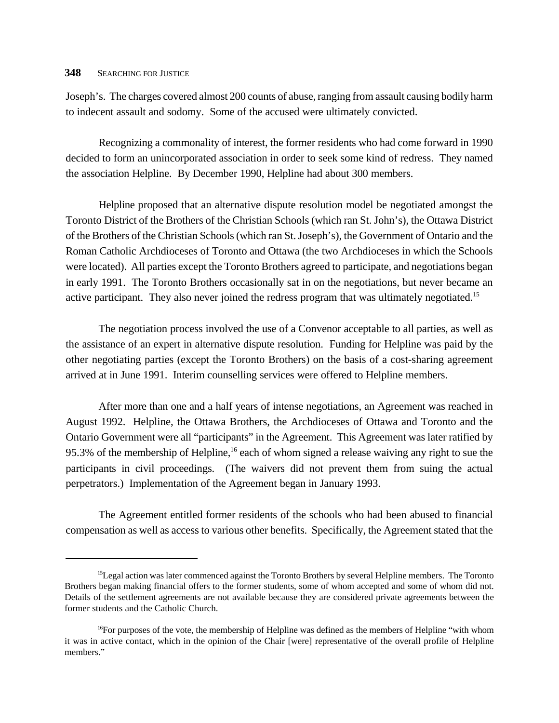Joseph's. The charges covered almost 200 counts of abuse, ranging from assault causing bodily harm to indecent assault and sodomy. Some of the accused were ultimately convicted.

Recognizing a commonality of interest, the former residents who had come forward in 1990 decided to form an unincorporated association in order to seek some kind of redress. They named the association Helpline. By December 1990, Helpline had about 300 members.

Helpline proposed that an alternative dispute resolution model be negotiated amongst the Toronto District of the Brothers of the Christian Schools (which ran St. John's), the Ottawa District of the Brothers of the Christian Schools (which ran St. Joseph's), the Government of Ontario and the Roman Catholic Archdioceses of Toronto and Ottawa (the two Archdioceses in which the Schools were located). All parties except the Toronto Brothers agreed to participate, and negotiations began in early 1991. The Toronto Brothers occasionally sat in on the negotiations, but never became an active participant. They also never joined the redress program that was ultimately negotiated.<sup>15</sup>

The negotiation process involved the use of a Convenor acceptable to all parties, as well as the assistance of an expert in alternative dispute resolution. Funding for Helpline was paid by the other negotiating parties (except the Toronto Brothers) on the basis of a cost-sharing agreement arrived at in June 1991. Interim counselling services were offered to Helpline members.

After more than one and a half years of intense negotiations, an Agreement was reached in August 1992. Helpline, the Ottawa Brothers, the Archdioceses of Ottawa and Toronto and the Ontario Government were all "participants" in the Agreement. This Agreement was later ratified by 95.3% of the membership of Helpline,<sup>16</sup> each of whom signed a release waiving any right to sue the participants in civil proceedings. (The waivers did not prevent them from suing the actual perpetrators.) Implementation of the Agreement began in January 1993.

The Agreement entitled former residents of the schools who had been abused to financial compensation as well as access to various other benefits. Specifically, the Agreement stated that the

<sup>&</sup>lt;sup>15</sup>Legal action was later commenced against the Toronto Brothers by several Helpline members. The Toronto Brothers began making financial offers to the former students, some of whom accepted and some of whom did not. Details of the settlement agreements are not available because they are considered private agreements between the former students and the Catholic Church.

 $16$ For purposes of the vote, the membership of Helpline was defined as the members of Helpline "with whom it was in active contact, which in the opinion of the Chair [were] representative of the overall profile of Helpline members."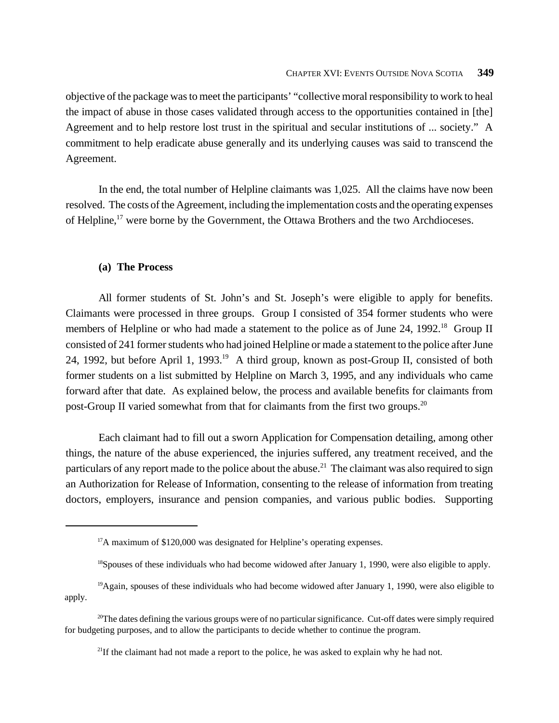objective of the package was to meet the participants' "collective moral responsibility to work to heal the impact of abuse in those cases validated through access to the opportunities contained in [the] Agreement and to help restore lost trust in the spiritual and secular institutions of ... society." A commitment to help eradicate abuse generally and its underlying causes was said to transcend the Agreement.

In the end, the total number of Helpline claimants was 1,025. All the claims have now been resolved. The costs of the Agreement, including the implementation costs and the operating expenses of Helpline,<sup>17</sup> were borne by the Government, the Ottawa Brothers and the two Archdioceses.

#### **(a) The Process**

All former students of St. John's and St. Joseph's were eligible to apply for benefits. Claimants were processed in three groups. Group I consisted of 354 former students who were members of Helpline or who had made a statement to the police as of June 24, 1992.<sup>18</sup> Group II consisted of 241 former students who had joined Helpline or made a statement to the police after June 24, 1992, but before April 1, 1993.<sup>19</sup> A third group, known as post-Group II, consisted of both former students on a list submitted by Helpline on March 3, 1995, and any individuals who came forward after that date. As explained below, the process and available benefits for claimants from post-Group II varied somewhat from that for claimants from the first two groups.<sup>20</sup>

Each claimant had to fill out a sworn Application for Compensation detailing, among other things, the nature of the abuse experienced, the injuries suffered, any treatment received, and the particulars of any report made to the police about the abuse.<sup>21</sup> The claimant was also required to sign an Authorization for Release of Information, consenting to the release of information from treating doctors, employers, insurance and pension companies, and various public bodies. Supporting

<sup>&</sup>lt;sup>17</sup>A maximum of \$120,000 was designated for Helpline's operating expenses.

 $18$ Spouses of these individuals who had become widowed after January 1, 1990, were also eligible to apply.

 $19$ Again, spouses of these individuals who had become widowed after January 1, 1990, were also eligible to apply.

<sup>&</sup>lt;sup>20</sup>The dates defining the various groups were of no particular significance. Cut-off dates were simply required for budgeting purposes, and to allow the participants to decide whether to continue the program.

<sup>&</sup>lt;sup>21</sup>If the claimant had not made a report to the police, he was asked to explain why he had not.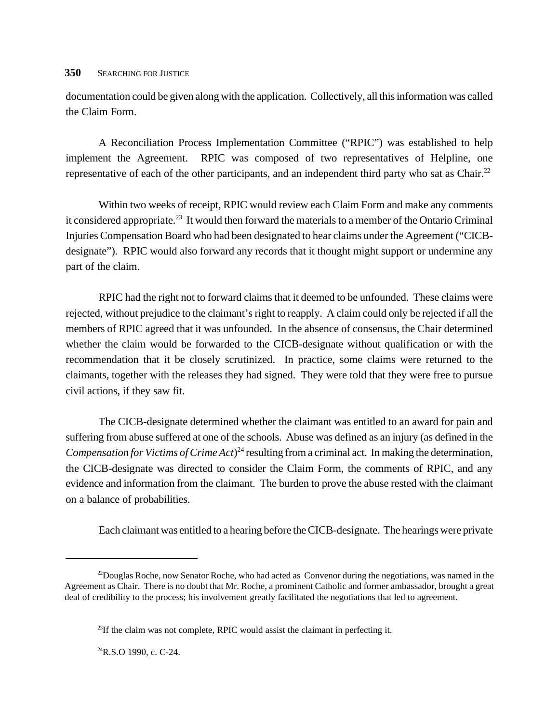documentation could be given along with the application. Collectively, all this information was called the Claim Form.

A Reconciliation Process Implementation Committee ("RPIC") was established to help implement the Agreement. RPIC was composed of two representatives of Helpline, one representative of each of the other participants, and an independent third party who sat as Chair.<sup>22</sup>

Within two weeks of receipt, RPIC would review each Claim Form and make any comments it considered appropriate.<sup>23</sup> It would then forward the materials to a member of the Ontario Criminal Injuries Compensation Board who had been designated to hear claims under the Agreement ("CICBdesignate"). RPIC would also forward any records that it thought might support or undermine any part of the claim.

RPIC had the right not to forward claims that it deemed to be unfounded. These claims were rejected, without prejudice to the claimant's right to reapply. A claim could only be rejected if all the members of RPIC agreed that it was unfounded. In the absence of consensus, the Chair determined whether the claim would be forwarded to the CICB-designate without qualification or with the recommendation that it be closely scrutinized. In practice, some claims were returned to the claimants, together with the releases they had signed. They were told that they were free to pursue civil actions, if they saw fit.

The CICB-designate determined whether the claimant was entitled to an award for pain and suffering from abuse suffered at one of the schools. Abuse was defined as an injury (as defined in the Compensation for Victims of Crime Act)<sup>24</sup> resulting from a criminal act. In making the determination, the CICB-designate was directed to consider the Claim Form, the comments of RPIC, and any evidence and information from the claimant. The burden to prove the abuse rested with the claimant on a balance of probabilities.

Each claimant was entitled to a hearing before the CICB-designate. The hearings were private

 $^{24}$ R.S.O 1990, c. C-24.

 $^{22}$ Douglas Roche, now Senator Roche, who had acted as Convenor during the negotiations, was named in the Agreement as Chair. There is no doubt that Mr. Roche, a prominent Catholic and former ambassador, brought a great deal of credibility to the process; his involvement greatly facilitated the negotiations that led to agreement.

 $^{23}$ If the claim was not complete, RPIC would assist the claimant in perfecting it.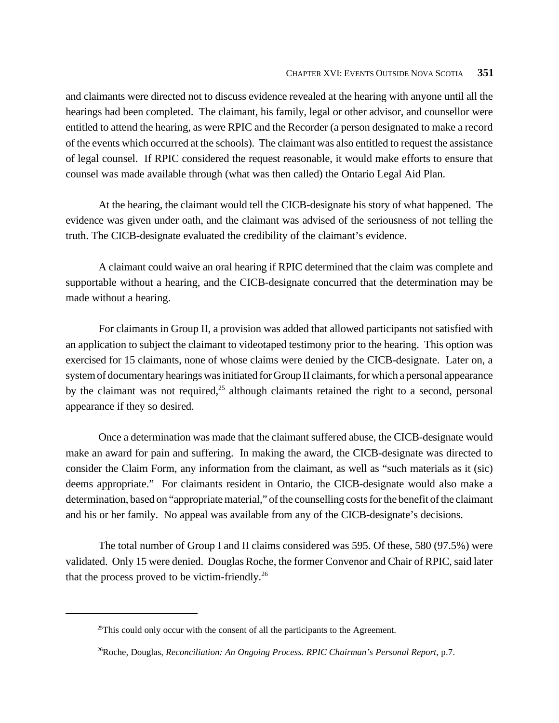and claimants were directed not to discuss evidence revealed at the hearing with anyone until all the hearings had been completed. The claimant, his family, legal or other advisor, and counsellor were entitled to attend the hearing, as were RPIC and the Recorder (a person designated to make a record of the events which occurred at the schools). The claimant was also entitled to request the assistance of legal counsel. If RPIC considered the request reasonable, it would make efforts to ensure that counsel was made available through (what was then called) the Ontario Legal Aid Plan.

At the hearing, the claimant would tell the CICB-designate his story of what happened. The evidence was given under oath, and the claimant was advised of the seriousness of not telling the truth. The CICB-designate evaluated the credibility of the claimant's evidence.

A claimant could waive an oral hearing if RPIC determined that the claim was complete and supportable without a hearing, and the CICB-designate concurred that the determination may be made without a hearing.

For claimants in Group II, a provision was added that allowed participants not satisfied with an application to subject the claimant to videotaped testimony prior to the hearing. This option was exercised for 15 claimants, none of whose claims were denied by the CICB-designate. Later on, a system of documentary hearings was initiated for Group II claimants, for which a personal appearance by the claimant was not required, $25$  although claimants retained the right to a second, personal appearance if they so desired.

Once a determination was made that the claimant suffered abuse, the CICB-designate would make an award for pain and suffering. In making the award, the CICB-designate was directed to consider the Claim Form, any information from the claimant, as well as "such materials as it (sic) deems appropriate." For claimants resident in Ontario, the CICB-designate would also make a determination, based on "appropriate material," of the counselling costs for the benefit of the claimant and his or her family. No appeal was available from any of the CICB-designate's decisions.

The total number of Group I and II claims considered was 595. Of these, 580 (97.5%) were validated. Only 15 were denied. Douglas Roche, the former Convenor and Chair of RPIC, said later that the process proved to be victim-friendly.26

 $25$ This could only occur with the consent of all the participants to the Agreement.

<sup>26</sup>Roche, Douglas, *Reconciliation: An Ongoing Process. RPIC Chairman's Personal Report*, p.7.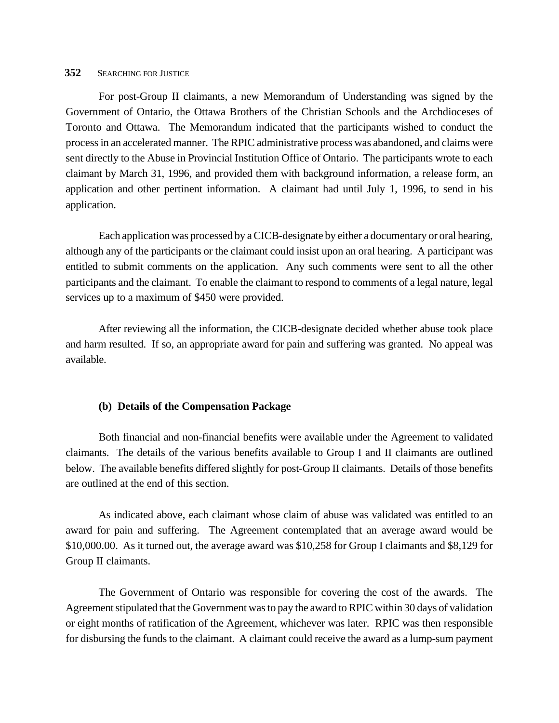For post-Group II claimants, a new Memorandum of Understanding was signed by the Government of Ontario, the Ottawa Brothers of the Christian Schools and the Archdioceses of Toronto and Ottawa. The Memorandum indicated that the participants wished to conduct the process in an accelerated manner. The RPIC administrative process was abandoned, and claims were sent directly to the Abuse in Provincial Institution Office of Ontario. The participants wrote to each claimant by March 31, 1996, and provided them with background information, a release form, an application and other pertinent information. A claimant had until July 1, 1996, to send in his application.

Each application was processed by a CICB-designate by either a documentary or oral hearing, although any of the participants or the claimant could insist upon an oral hearing. A participant was entitled to submit comments on the application. Any such comments were sent to all the other participants and the claimant. To enable the claimant to respond to comments of a legal nature, legal services up to a maximum of \$450 were provided.

After reviewing all the information, the CICB-designate decided whether abuse took place and harm resulted. If so, an appropriate award for pain and suffering was granted. No appeal was available.

#### **(b) Details of the Compensation Package**

Both financial and non-financial benefits were available under the Agreement to validated claimants. The details of the various benefits available to Group I and II claimants are outlined below. The available benefits differed slightly for post-Group II claimants. Details of those benefits are outlined at the end of this section.

As indicated above, each claimant whose claim of abuse was validated was entitled to an award for pain and suffering. The Agreement contemplated that an average award would be \$10,000.00. As it turned out, the average award was \$10,258 for Group I claimants and \$8,129 for Group II claimants.

The Government of Ontario was responsible for covering the cost of the awards. The Agreement stipulated that the Government was to pay the award to RPIC within 30 days of validation or eight months of ratification of the Agreement, whichever was later. RPIC was then responsible for disbursing the funds to the claimant. A claimant could receive the award as a lump-sum payment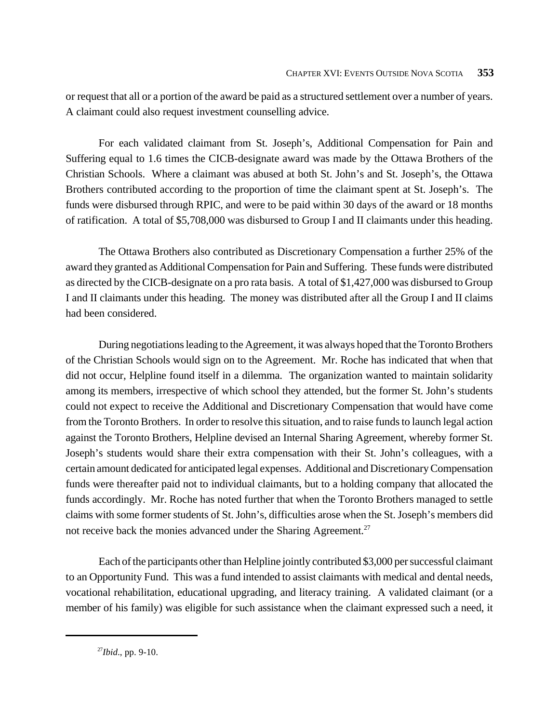or request that all or a portion of the award be paid as a structured settlement over a number of years. A claimant could also request investment counselling advice.

For each validated claimant from St. Joseph's, Additional Compensation for Pain and Suffering equal to 1.6 times the CICB-designate award was made by the Ottawa Brothers of the Christian Schools. Where a claimant was abused at both St. John's and St. Joseph's, the Ottawa Brothers contributed according to the proportion of time the claimant spent at St. Joseph's. The funds were disbursed through RPIC, and were to be paid within 30 days of the award or 18 months of ratification. A total of \$5,708,000 was disbursed to Group I and II claimants under this heading.

The Ottawa Brothers also contributed as Discretionary Compensation a further 25% of the award they granted as Additional Compensation for Pain and Suffering. These funds were distributed as directed by the CICB-designate on a pro rata basis. A total of \$1,427,000 was disbursed to Group I and II claimants under this heading. The money was distributed after all the Group I and II claims had been considered.

During negotiations leading to the Agreement, it was always hoped that the Toronto Brothers of the Christian Schools would sign on to the Agreement. Mr. Roche has indicated that when that did not occur, Helpline found itself in a dilemma. The organization wanted to maintain solidarity among its members, irrespective of which school they attended, but the former St. John's students could not expect to receive the Additional and Discretionary Compensation that would have come from the Toronto Brothers. In order to resolve this situation, and to raise funds to launch legal action against the Toronto Brothers, Helpline devised an Internal Sharing Agreement, whereby former St. Joseph's students would share their extra compensation with their St. John's colleagues, with a certain amount dedicated for anticipated legal expenses. Additional and Discretionary Compensation funds were thereafter paid not to individual claimants, but to a holding company that allocated the funds accordingly. Mr. Roche has noted further that when the Toronto Brothers managed to settle claims with some former students of St. John's, difficulties arose when the St. Joseph's members did not receive back the monies advanced under the Sharing Agreement.<sup>27</sup>

Each of the participants other than Helpline jointly contributed \$3,000 per successful claimant to an Opportunity Fund. This was a fund intended to assist claimants with medical and dental needs, vocational rehabilitation, educational upgrading, and literacy training. A validated claimant (or a member of his family) was eligible for such assistance when the claimant expressed such a need, it

<sup>27</sup>*Ibid*., pp. 9-10.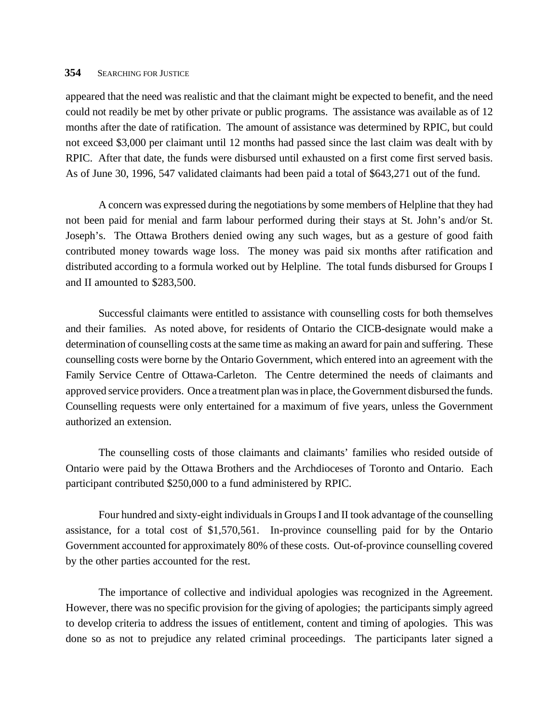appeared that the need was realistic and that the claimant might be expected to benefit, and the need could not readily be met by other private or public programs. The assistance was available as of 12 months after the date of ratification. The amount of assistance was determined by RPIC, but could not exceed \$3,000 per claimant until 12 months had passed since the last claim was dealt with by RPIC. After that date, the funds were disbursed until exhausted on a first come first served basis. As of June 30, 1996, 547 validated claimants had been paid a total of \$643,271 out of the fund.

A concern was expressed during the negotiations by some members of Helpline that they had not been paid for menial and farm labour performed during their stays at St. John's and/or St. Joseph's. The Ottawa Brothers denied owing any such wages, but as a gesture of good faith contributed money towards wage loss. The money was paid six months after ratification and distributed according to a formula worked out by Helpline. The total funds disbursed for Groups I and II amounted to \$283,500.

Successful claimants were entitled to assistance with counselling costs for both themselves and their families. As noted above, for residents of Ontario the CICB-designate would make a determination of counselling costs at the same time as making an award for pain and suffering. These counselling costs were borne by the Ontario Government, which entered into an agreement with the Family Service Centre of Ottawa-Carleton. The Centre determined the needs of claimants and approved service providers. Once a treatment plan was in place, the Government disbursed the funds. Counselling requests were only entertained for a maximum of five years, unless the Government authorized an extension.

The counselling costs of those claimants and claimants' families who resided outside of Ontario were paid by the Ottawa Brothers and the Archdioceses of Toronto and Ontario. Each participant contributed \$250,000 to a fund administered by RPIC.

Four hundred and sixty-eight individuals in Groups I and II took advantage of the counselling assistance, for a total cost of \$1,570,561. In-province counselling paid for by the Ontario Government accounted for approximately 80% of these costs. Out-of-province counselling covered by the other parties accounted for the rest.

The importance of collective and individual apologies was recognized in the Agreement. However, there was no specific provision for the giving of apologies; the participants simply agreed to develop criteria to address the issues of entitlement, content and timing of apologies. This was done so as not to prejudice any related criminal proceedings. The participants later signed a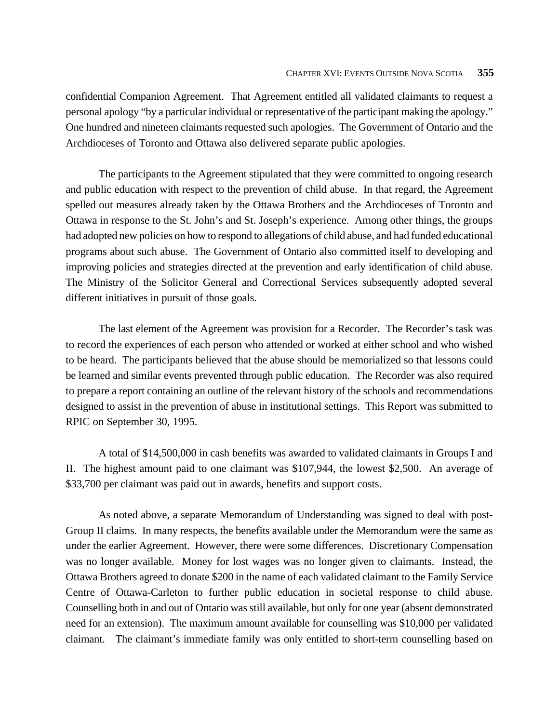confidential Companion Agreement. That Agreement entitled all validated claimants to request a personal apology "by a particular individual or representative of the participant making the apology." One hundred and nineteen claimants requested such apologies. The Government of Ontario and the Archdioceses of Toronto and Ottawa also delivered separate public apologies.

The participants to the Agreement stipulated that they were committed to ongoing research and public education with respect to the prevention of child abuse. In that regard, the Agreement spelled out measures already taken by the Ottawa Brothers and the Archdioceses of Toronto and Ottawa in response to the St. John's and St. Joseph's experience. Among other things, the groups had adopted new policies on how to respond to allegations of child abuse, and had funded educational programs about such abuse. The Government of Ontario also committed itself to developing and improving policies and strategies directed at the prevention and early identification of child abuse. The Ministry of the Solicitor General and Correctional Services subsequently adopted several different initiatives in pursuit of those goals.

The last element of the Agreement was provision for a Recorder. The Recorder's task was to record the experiences of each person who attended or worked at either school and who wished to be heard. The participants believed that the abuse should be memorialized so that lessons could be learned and similar events prevented through public education. The Recorder was also required to prepare a report containing an outline of the relevant history of the schools and recommendations designed to assist in the prevention of abuse in institutional settings. This Report was submitted to RPIC on September 30, 1995.

A total of \$14,500,000 in cash benefits was awarded to validated claimants in Groups I and II. The highest amount paid to one claimant was \$107,944, the lowest \$2,500. An average of \$33,700 per claimant was paid out in awards, benefits and support costs.

As noted above, a separate Memorandum of Understanding was signed to deal with post-Group II claims. In many respects, the benefits available under the Memorandum were the same as under the earlier Agreement. However, there were some differences. Discretionary Compensation was no longer available. Money for lost wages was no longer given to claimants. Instead, the Ottawa Brothers agreed to donate \$200 in the name of each validated claimant to the Family Service Centre of Ottawa-Carleton to further public education in societal response to child abuse. Counselling both in and out of Ontario was still available, but only for one year (absent demonstrated need for an extension). The maximum amount available for counselling was \$10,000 per validated claimant. The claimant's immediate family was only entitled to short-term counselling based on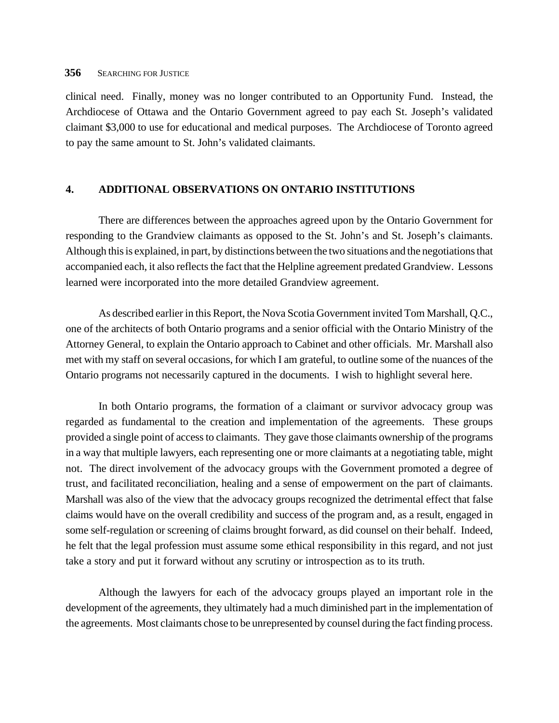clinical need. Finally, money was no longer contributed to an Opportunity Fund. Instead, the Archdiocese of Ottawa and the Ontario Government agreed to pay each St. Joseph's validated claimant \$3,000 to use for educational and medical purposes. The Archdiocese of Toronto agreed to pay the same amount to St. John's validated claimants.

#### **4. ADDITIONAL OBSERVATIONS ON ONTARIO INSTITUTIONS**

There are differences between the approaches agreed upon by the Ontario Government for responding to the Grandview claimants as opposed to the St. John's and St. Joseph's claimants. Although this is explained, in part, by distinctions between the two situations and the negotiations that accompanied each, it also reflects the fact that the Helpline agreement predated Grandview. Lessons learned were incorporated into the more detailed Grandview agreement.

As described earlier in this Report, the Nova Scotia Government invited Tom Marshall, Q.C., one of the architects of both Ontario programs and a senior official with the Ontario Ministry of the Attorney General, to explain the Ontario approach to Cabinet and other officials. Mr. Marshall also met with my staff on several occasions, for which I am grateful, to outline some of the nuances of the Ontario programs not necessarily captured in the documents. I wish to highlight several here.

In both Ontario programs, the formation of a claimant or survivor advocacy group was regarded as fundamental to the creation and implementation of the agreements. These groups provided a single point of access to claimants. They gave those claimants ownership of the programs in a way that multiple lawyers, each representing one or more claimants at a negotiating table, might not. The direct involvement of the advocacy groups with the Government promoted a degree of trust, and facilitated reconciliation, healing and a sense of empowerment on the part of claimants. Marshall was also of the view that the advocacy groups recognized the detrimental effect that false claims would have on the overall credibility and success of the program and, as a result, engaged in some self-regulation or screening of claims brought forward, as did counsel on their behalf. Indeed, he felt that the legal profession must assume some ethical responsibility in this regard, and not just take a story and put it forward without any scrutiny or introspection as to its truth.

Although the lawyers for each of the advocacy groups played an important role in the development of the agreements, they ultimately had a much diminished part in the implementation of the agreements. Most claimants chose to be unrepresented by counsel during the fact finding process.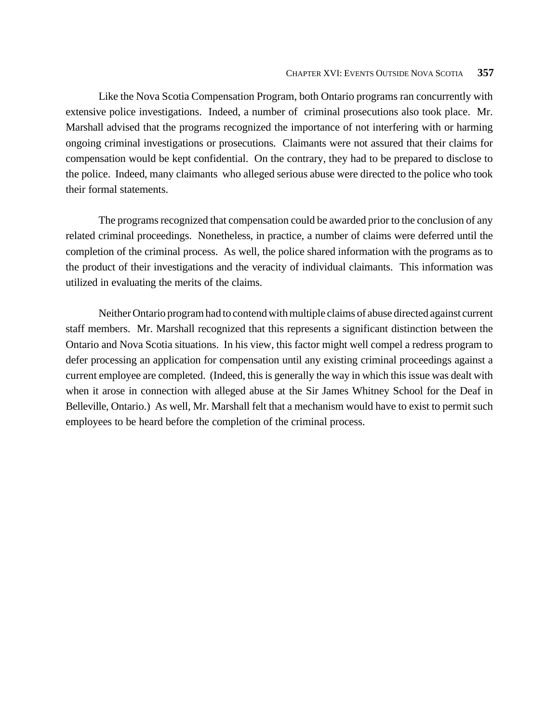Like the Nova Scotia Compensation Program, both Ontario programs ran concurrently with extensive police investigations. Indeed, a number of criminal prosecutions also took place. Mr. Marshall advised that the programs recognized the importance of not interfering with or harming ongoing criminal investigations or prosecutions. Claimants were not assured that their claims for compensation would be kept confidential. On the contrary, they had to be prepared to disclose to the police. Indeed, many claimants who alleged serious abuse were directed to the police who took their formal statements.

The programs recognized that compensation could be awarded prior to the conclusion of any related criminal proceedings. Nonetheless, in practice, a number of claims were deferred until the completion of the criminal process. As well, the police shared information with the programs as to the product of their investigations and the veracity of individual claimants. This information was utilized in evaluating the merits of the claims.

Neither Ontario program had to contend with multiple claims of abuse directed against current staff members. Mr. Marshall recognized that this represents a significant distinction between the Ontario and Nova Scotia situations. In his view, this factor might well compel a redress program to defer processing an application for compensation until any existing criminal proceedings against a current employee are completed. (Indeed, this is generally the way in which this issue was dealt with when it arose in connection with alleged abuse at the Sir James Whitney School for the Deaf in Belleville, Ontario.) As well, Mr. Marshall felt that a mechanism would have to exist to permit such employees to be heard before the completion of the criminal process.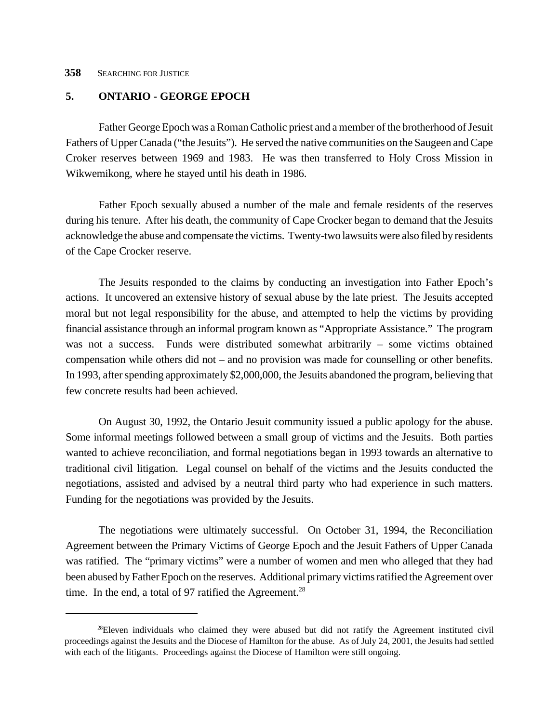# **5. ONTARIO - GEORGE EPOCH**

Father George Epoch was a Roman Catholic priest and a member of the brotherhood of Jesuit Fathers of Upper Canada ("the Jesuits"). He served the native communities on the Saugeen and Cape Croker reserves between 1969 and 1983. He was then transferred to Holy Cross Mission in Wikwemikong, where he stayed until his death in 1986.

Father Epoch sexually abused a number of the male and female residents of the reserves during his tenure. After his death, the community of Cape Crocker began to demand that the Jesuits acknowledge the abuse and compensate the victims. Twenty-two lawsuits were also filed by residents of the Cape Crocker reserve.

The Jesuits responded to the claims by conducting an investigation into Father Epoch's actions. It uncovered an extensive history of sexual abuse by the late priest. The Jesuits accepted moral but not legal responsibility for the abuse, and attempted to help the victims by providing financial assistance through an informal program known as "Appropriate Assistance." The program was not a success. Funds were distributed somewhat arbitrarily – some victims obtained compensation while others did not – and no provision was made for counselling or other benefits. In 1993, after spending approximately \$2,000,000, the Jesuits abandoned the program, believing that few concrete results had been achieved.

On August 30, 1992, the Ontario Jesuit community issued a public apology for the abuse. Some informal meetings followed between a small group of victims and the Jesuits. Both parties wanted to achieve reconciliation, and formal negotiations began in 1993 towards an alternative to traditional civil litigation. Legal counsel on behalf of the victims and the Jesuits conducted the negotiations, assisted and advised by a neutral third party who had experience in such matters. Funding for the negotiations was provided by the Jesuits.

The negotiations were ultimately successful. On October 31, 1994, the Reconciliation Agreement between the Primary Victims of George Epoch and the Jesuit Fathers of Upper Canada was ratified. The "primary victims" were a number of women and men who alleged that they had been abused by Father Epoch on the reserves. Additional primary victims ratified the Agreement over time. In the end, a total of 97 ratified the Agreement.<sup>28</sup>

 $28$ Eleven individuals who claimed they were abused but did not ratify the Agreement instituted civil proceedings against the Jesuits and the Diocese of Hamilton for the abuse. As of July 24, 2001, the Jesuits had settled with each of the litigants. Proceedings against the Diocese of Hamilton were still ongoing.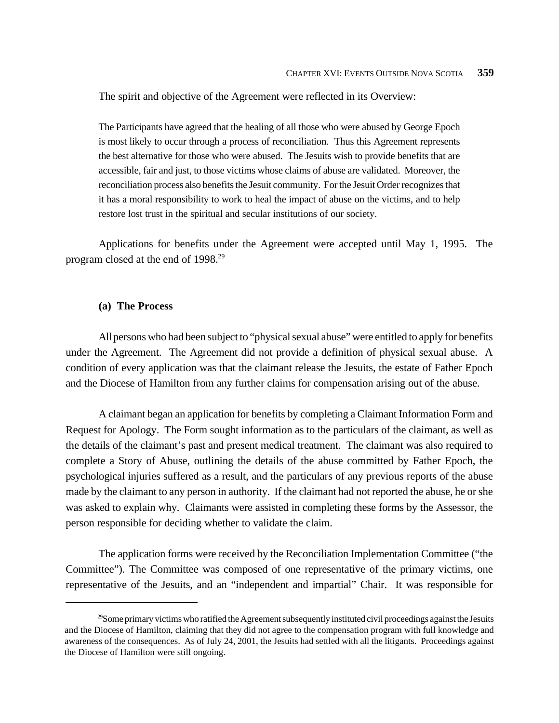The spirit and objective of the Agreement were reflected in its Overview:

The Participants have agreed that the healing of all those who were abused by George Epoch is most likely to occur through a process of reconciliation. Thus this Agreement represents the best alternative for those who were abused. The Jesuits wish to provide benefits that are accessible, fair and just, to those victims whose claims of abuse are validated. Moreover, the reconciliation process also benefits the Jesuit community. For the Jesuit Order recognizes that it has a moral responsibility to work to heal the impact of abuse on the victims, and to help restore lost trust in the spiritual and secular institutions of our society.

Applications for benefits under the Agreement were accepted until May 1, 1995. The program closed at the end of 1998.<sup>29</sup>

#### **(a) The Process**

All persons who had been subject to "physical sexual abuse" were entitled to apply for benefits under the Agreement. The Agreement did not provide a definition of physical sexual abuse. A condition of every application was that the claimant release the Jesuits, the estate of Father Epoch and the Diocese of Hamilton from any further claims for compensation arising out of the abuse.

A claimant began an application for benefits by completing a Claimant Information Form and Request for Apology. The Form sought information as to the particulars of the claimant, as well as the details of the claimant's past and present medical treatment. The claimant was also required to complete a Story of Abuse, outlining the details of the abuse committed by Father Epoch, the psychological injuries suffered as a result, and the particulars of any previous reports of the abuse made by the claimant to any person in authority. If the claimant had not reported the abuse, he or she was asked to explain why. Claimants were assisted in completing these forms by the Assessor, the person responsible for deciding whether to validate the claim.

The application forms were received by the Reconciliation Implementation Committee ("the Committee"). The Committee was composed of one representative of the primary victims, one representative of the Jesuits, and an "independent and impartial" Chair. It was responsible for

<sup>&</sup>lt;sup>29</sup>Some primary victims who ratified the Agreement subsequently instituted civil proceedings against the Jesuits and the Diocese of Hamilton, claiming that they did not agree to the compensation program with full knowledge and awareness of the consequences. As of July 24, 2001, the Jesuits had settled with all the litigants. Proceedings against the Diocese of Hamilton were still ongoing.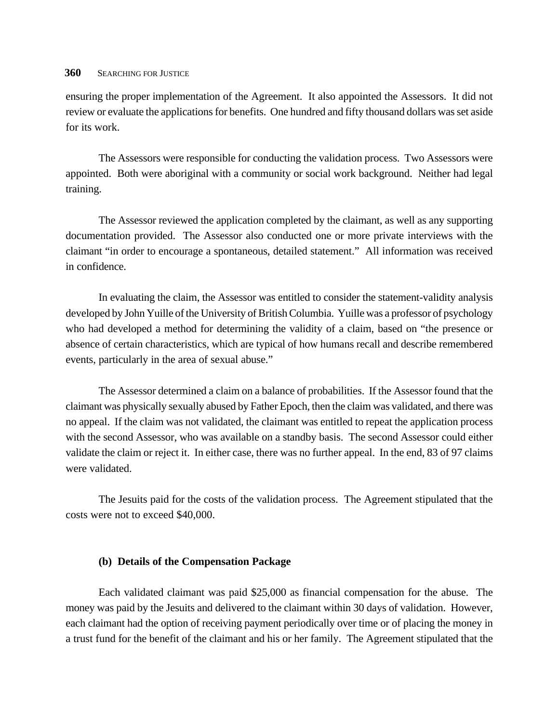ensuring the proper implementation of the Agreement. It also appointed the Assessors. It did not review or evaluate the applications for benefits. One hundred and fifty thousand dollars was set aside for its work.

The Assessors were responsible for conducting the validation process. Two Assessors were appointed. Both were aboriginal with a community or social work background. Neither had legal training.

The Assessor reviewed the application completed by the claimant, as well as any supporting documentation provided. The Assessor also conducted one or more private interviews with the claimant "in order to encourage a spontaneous, detailed statement." All information was received in confidence.

In evaluating the claim, the Assessor was entitled to consider the statement-validity analysis developed by John Yuille of the University of British Columbia. Yuille was a professor of psychology who had developed a method for determining the validity of a claim, based on "the presence or absence of certain characteristics, which are typical of how humans recall and describe remembered events, particularly in the area of sexual abuse."

The Assessor determined a claim on a balance of probabilities. If the Assessor found that the claimant was physically sexually abused by Father Epoch, then the claim was validated, and there was no appeal. If the claim was not validated, the claimant was entitled to repeat the application process with the second Assessor, who was available on a standby basis. The second Assessor could either validate the claim or reject it. In either case, there was no further appeal. In the end, 83 of 97 claims were validated.

The Jesuits paid for the costs of the validation process. The Agreement stipulated that the costs were not to exceed \$40,000.

#### **(b) Details of the Compensation Package**

Each validated claimant was paid \$25,000 as financial compensation for the abuse. The money was paid by the Jesuits and delivered to the claimant within 30 days of validation. However, each claimant had the option of receiving payment periodically over time or of placing the money in a trust fund for the benefit of the claimant and his or her family. The Agreement stipulated that the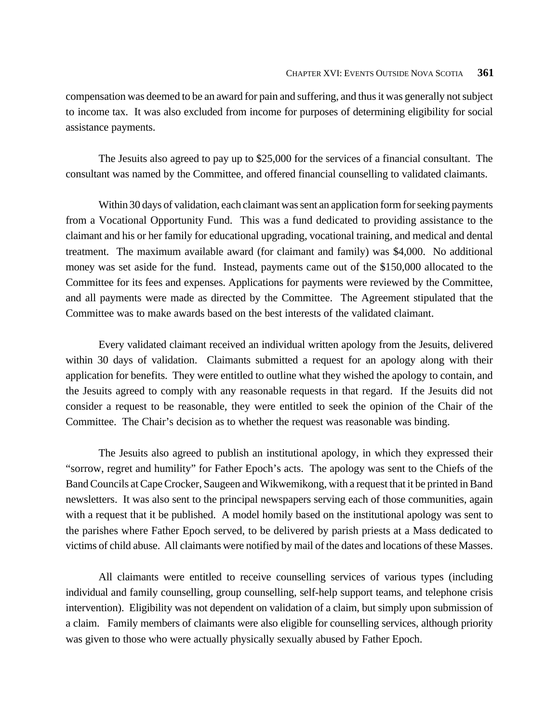compensation was deemed to be an award for pain and suffering, and thus it was generally not subject to income tax. It was also excluded from income for purposes of determining eligibility for social assistance payments.

The Jesuits also agreed to pay up to \$25,000 for the services of a financial consultant. The consultant was named by the Committee, and offered financial counselling to validated claimants.

Within 30 days of validation, each claimant was sent an application form for seeking payments from a Vocational Opportunity Fund. This was a fund dedicated to providing assistance to the claimant and his or her family for educational upgrading, vocational training, and medical and dental treatment. The maximum available award (for claimant and family) was \$4,000. No additional money was set aside for the fund. Instead, payments came out of the \$150,000 allocated to the Committee for its fees and expenses. Applications for payments were reviewed by the Committee, and all payments were made as directed by the Committee. The Agreement stipulated that the Committee was to make awards based on the best interests of the validated claimant.

Every validated claimant received an individual written apology from the Jesuits, delivered within 30 days of validation. Claimants submitted a request for an apology along with their application for benefits. They were entitled to outline what they wished the apology to contain, and the Jesuits agreed to comply with any reasonable requests in that regard. If the Jesuits did not consider a request to be reasonable, they were entitled to seek the opinion of the Chair of the Committee. The Chair's decision as to whether the request was reasonable was binding.

The Jesuits also agreed to publish an institutional apology, in which they expressed their "sorrow, regret and humility" for Father Epoch's acts. The apology was sent to the Chiefs of the Band Councils at Cape Crocker, Saugeen and Wikwemikong, with a request that it be printed in Band newsletters. It was also sent to the principal newspapers serving each of those communities, again with a request that it be published. A model homily based on the institutional apology was sent to the parishes where Father Epoch served, to be delivered by parish priests at a Mass dedicated to victims of child abuse. All claimants were notified by mail of the dates and locations of these Masses.

All claimants were entitled to receive counselling services of various types (including individual and family counselling, group counselling, self-help support teams, and telephone crisis intervention). Eligibility was not dependent on validation of a claim, but simply upon submission of a claim. Family members of claimants were also eligible for counselling services, although priority was given to those who were actually physically sexually abused by Father Epoch.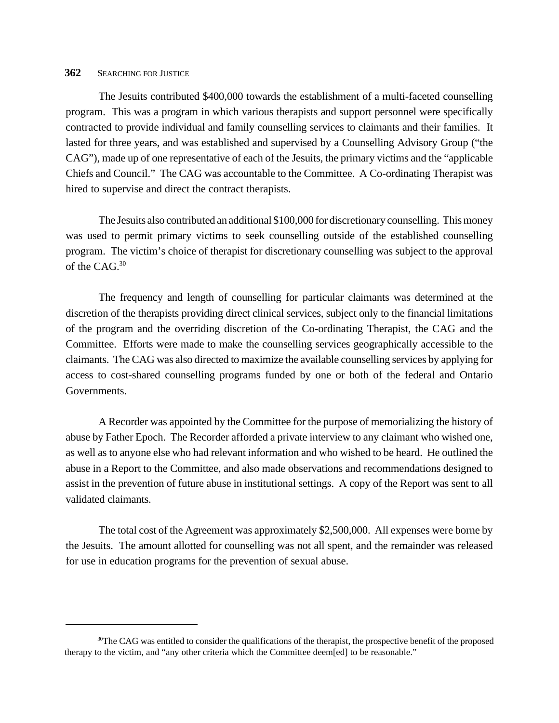The Jesuits contributed \$400,000 towards the establishment of a multi-faceted counselling program. This was a program in which various therapists and support personnel were specifically contracted to provide individual and family counselling services to claimants and their families. It lasted for three years, and was established and supervised by a Counselling Advisory Group ("the CAG"), made up of one representative of each of the Jesuits, the primary victims and the "applicable Chiefs and Council." The CAG was accountable to the Committee. A Co-ordinating Therapist was hired to supervise and direct the contract therapists.

The Jesuits also contributed an additional \$100,000 for discretionary counselling. This money was used to permit primary victims to seek counselling outside of the established counselling program. The victim's choice of therapist for discretionary counselling was subject to the approval of the CAG.<sup>30</sup>

The frequency and length of counselling for particular claimants was determined at the discretion of the therapists providing direct clinical services, subject only to the financial limitations of the program and the overriding discretion of the Co-ordinating Therapist, the CAG and the Committee. Efforts were made to make the counselling services geographically accessible to the claimants. The CAG was also directed to maximize the available counselling services by applying for access to cost-shared counselling programs funded by one or both of the federal and Ontario Governments.

A Recorder was appointed by the Committee for the purpose of memorializing the history of abuse by Father Epoch. The Recorder afforded a private interview to any claimant who wished one, as well as to anyone else who had relevant information and who wished to be heard. He outlined the abuse in a Report to the Committee, and also made observations and recommendations designed to assist in the prevention of future abuse in institutional settings. A copy of the Report was sent to all validated claimants.

The total cost of the Agreement was approximately \$2,500,000. All expenses were borne by the Jesuits. The amount allotted for counselling was not all spent, and the remainder was released for use in education programs for the prevention of sexual abuse.

<sup>&</sup>lt;sup>30</sup>The CAG was entitled to consider the qualifications of the therapist, the prospective benefit of the proposed therapy to the victim, and "any other criteria which the Committee deem[ed] to be reasonable."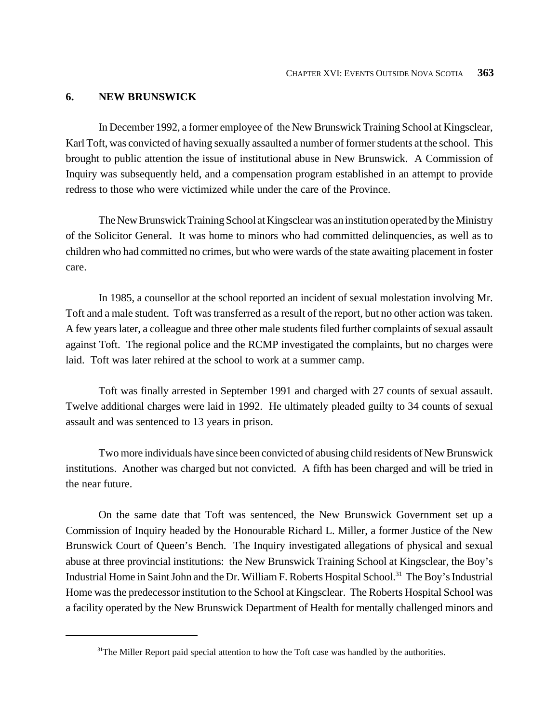# **6. NEW BRUNSWICK**

In December 1992, a former employee of the New Brunswick Training School at Kingsclear, Karl Toft, was convicted of having sexually assaulted a number of former students at the school. This brought to public attention the issue of institutional abuse in New Brunswick. A Commission of Inquiry was subsequently held, and a compensation program established in an attempt to provide redress to those who were victimized while under the care of the Province.

The New Brunswick Training School at Kingsclear was an institution operated by the Ministry of the Solicitor General. It was home to minors who had committed delinquencies, as well as to children who had committed no crimes, but who were wards of the state awaiting placement in foster care.

In 1985, a counsellor at the school reported an incident of sexual molestation involving Mr. Toft and a male student. Toft was transferred as a result of the report, but no other action was taken. A few years later, a colleague and three other male students filed further complaints of sexual assault against Toft. The regional police and the RCMP investigated the complaints, but no charges were laid. Toft was later rehired at the school to work at a summer camp.

Toft was finally arrested in September 1991 and charged with 27 counts of sexual assault. Twelve additional charges were laid in 1992. He ultimately pleaded guilty to 34 counts of sexual assault and was sentenced to 13 years in prison.

Two more individuals have since been convicted of abusing child residents of New Brunswick institutions. Another was charged but not convicted. A fifth has been charged and will be tried in the near future.

On the same date that Toft was sentenced, the New Brunswick Government set up a Commission of Inquiry headed by the Honourable Richard L. Miller, a former Justice of the New Brunswick Court of Queen's Bench. The Inquiry investigated allegations of physical and sexual abuse at three provincial institutions: the New Brunswick Training School at Kingsclear, the Boy's Industrial Home in Saint John and the Dr. William F. Roberts Hospital School.<sup>31</sup> The Boy's Industrial Home was the predecessor institution to the School at Kingsclear. The Roberts Hospital School was a facility operated by the New Brunswick Department of Health for mentally challenged minors and

<sup>&</sup>lt;sup>31</sup>The Miller Report paid special attention to how the Toft case was handled by the authorities.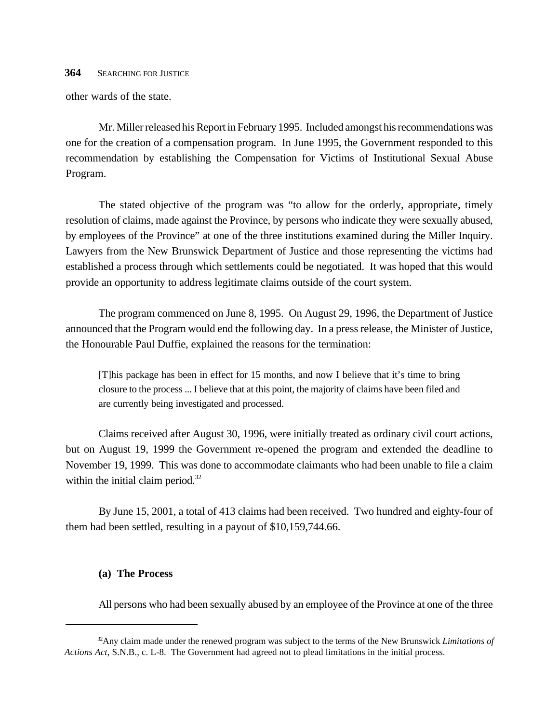other wards of the state.

Mr. Miller released his Report in February 1995. Included amongst his recommendations was one for the creation of a compensation program. In June 1995, the Government responded to this recommendation by establishing the Compensation for Victims of Institutional Sexual Abuse Program.

The stated objective of the program was "to allow for the orderly, appropriate, timely resolution of claims, made against the Province, by persons who indicate they were sexually abused, by employees of the Province" at one of the three institutions examined during the Miller Inquiry. Lawyers from the New Brunswick Department of Justice and those representing the victims had established a process through which settlements could be negotiated. It was hoped that this would provide an opportunity to address legitimate claims outside of the court system.

The program commenced on June 8, 1995. On August 29, 1996, the Department of Justice announced that the Program would end the following day. In a press release, the Minister of Justice, the Honourable Paul Duffie, explained the reasons for the termination:

[T]his package has been in effect for 15 months, and now I believe that it's time to bring closure to the process ... I believe that at this point, the majority of claims have been filed and are currently being investigated and processed.

Claims received after August 30, 1996, were initially treated as ordinary civil court actions, but on August 19, 1999 the Government re-opened the program and extended the deadline to November 19, 1999. This was done to accommodate claimants who had been unable to file a claim within the initial claim period. $32$ 

By June 15, 2001, a total of 413 claims had been received. Two hundred and eighty-four of them had been settled, resulting in a payout of \$10,159,744.66.

#### **(a) The Process**

All persons who had been sexually abused by an employee of the Province at one of the three

<sup>32</sup>Any claim made under the renewed program was subject to the terms of the New Brunswick *Limitations of Actions Act*, S.N.B., c. L-8. The Government had agreed not to plead limitations in the initial process.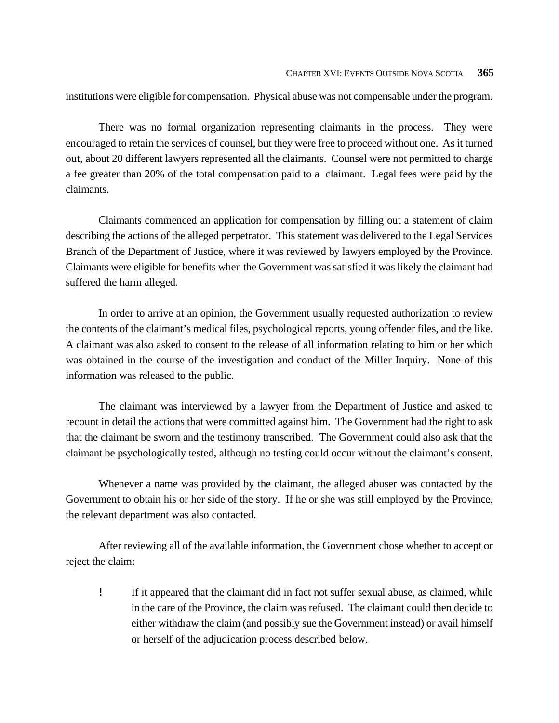institutions were eligible for compensation. Physical abuse was not compensable under the program.

There was no formal organization representing claimants in the process. They were encouraged to retain the services of counsel, but they were free to proceed without one. As it turned out, about 20 different lawyers represented all the claimants. Counsel were not permitted to charge a fee greater than 20% of the total compensation paid to a claimant. Legal fees were paid by the claimants.

Claimants commenced an application for compensation by filling out a statement of claim describing the actions of the alleged perpetrator. This statement was delivered to the Legal Services Branch of the Department of Justice, where it was reviewed by lawyers employed by the Province. Claimants were eligible for benefits when the Government was satisfied it was likely the claimant had suffered the harm alleged.

In order to arrive at an opinion, the Government usually requested authorization to review the contents of the claimant's medical files, psychological reports, young offender files, and the like. A claimant was also asked to consent to the release of all information relating to him or her which was obtained in the course of the investigation and conduct of the Miller Inquiry. None of this information was released to the public.

The claimant was interviewed by a lawyer from the Department of Justice and asked to recount in detail the actions that were committed against him. The Government had the right to ask that the claimant be sworn and the testimony transcribed. The Government could also ask that the claimant be psychologically tested, although no testing could occur without the claimant's consent.

Whenever a name was provided by the claimant, the alleged abuser was contacted by the Government to obtain his or her side of the story. If he or she was still employed by the Province, the relevant department was also contacted.

After reviewing all of the available information, the Government chose whether to accept or reject the claim:

! If it appeared that the claimant did in fact not suffer sexual abuse, as claimed, while in the care of the Province, the claim was refused. The claimant could then decide to either withdraw the claim (and possibly sue the Government instead) or avail himself or herself of the adjudication process described below.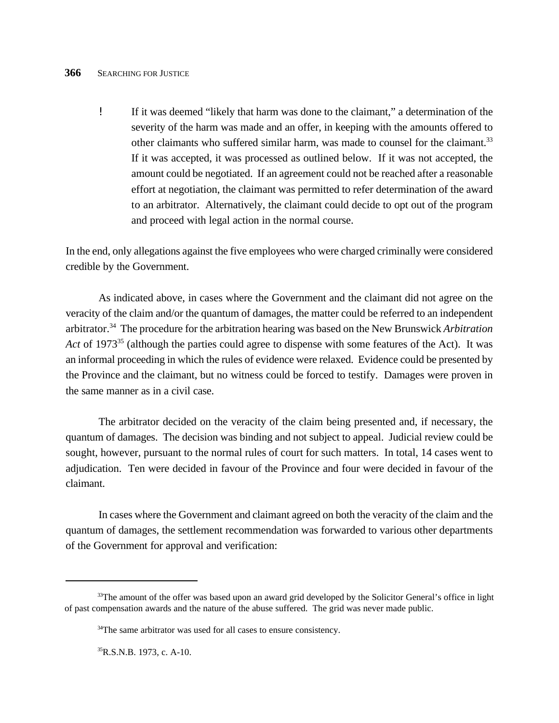! If it was deemed "likely that harm was done to the claimant," a determination of the severity of the harm was made and an offer, in keeping with the amounts offered to other claimants who suffered similar harm, was made to counsel for the claimant.<sup>33</sup> If it was accepted, it was processed as outlined below. If it was not accepted, the amount could be negotiated. If an agreement could not be reached after a reasonable effort at negotiation, the claimant was permitted to refer determination of the award to an arbitrator. Alternatively, the claimant could decide to opt out of the program and proceed with legal action in the normal course.

In the end, only allegations against the five employees who were charged criminally were considered credible by the Government.

As indicated above, in cases where the Government and the claimant did not agree on the veracity of the claim and/or the quantum of damages, the matter could be referred to an independent arbitrator.<sup>34</sup> The procedure for the arbitration hearing was based on the New Brunswick *Arbitration* Act of 1973<sup>35</sup> (although the parties could agree to dispense with some features of the Act). It was an informal proceeding in which the rules of evidence were relaxed. Evidence could be presented by the Province and the claimant, but no witness could be forced to testify. Damages were proven in the same manner as in a civil case.

The arbitrator decided on the veracity of the claim being presented and, if necessary, the quantum of damages. The decision was binding and not subject to appeal. Judicial review could be sought, however, pursuant to the normal rules of court for such matters. In total, 14 cases went to adjudication. Ten were decided in favour of the Province and four were decided in favour of the claimant.

In cases where the Government and claimant agreed on both the veracity of the claim and the quantum of damages, the settlement recommendation was forwarded to various other departments of the Government for approval and verification:

<sup>35</sup>R.S.N.B. 1973, c. A-10.

<sup>&</sup>lt;sup>33</sup>The amount of the offer was based upon an award grid developed by the Solicitor General's office in light of past compensation awards and the nature of the abuse suffered. The grid was never made public.

<sup>&</sup>lt;sup>34</sup>The same arbitrator was used for all cases to ensure consistency.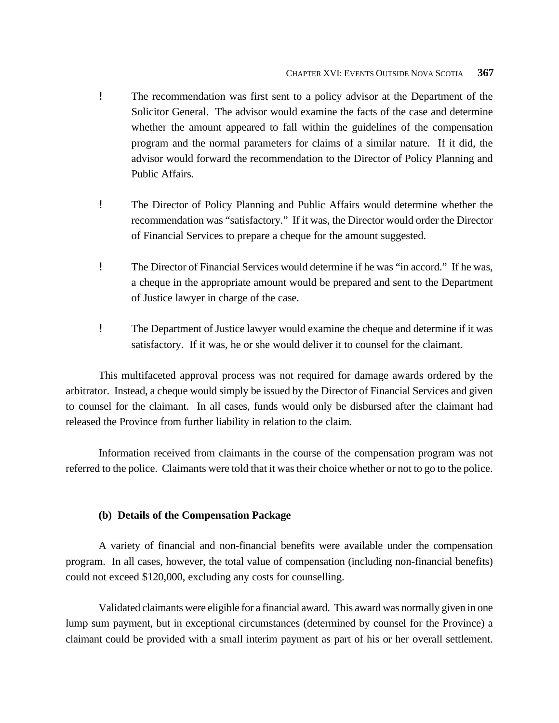- ! The recommendation was first sent to a policy advisor at the Department of the Solicitor General. The advisor would examine the facts of the case and determine whether the amount appeared to fall within the guidelines of the compensation program and the normal parameters for claims of a similar nature. If it did, the advisor would forward the recommendation to the Director of Policy Planning and Public Affairs.
- ! The Director of Policy Planning and Public Affairs would determine whether the recommendation was "satisfactory." If it was, the Director would order the Director of Financial Services to prepare a cheque for the amount suggested.
- ! The Director of Financial Services would determine if he was "in accord." If he was, a cheque in the appropriate amount would be prepared and sent to the Department of Justice lawyer in charge of the case.
- ! The Department of Justice lawyer would examine the cheque and determine if it was satisfactory. If it was, he or she would deliver it to counsel for the claimant.

This multifaceted approval process was not required for damage awards ordered by the arbitrator. Instead, a cheque would simply be issued by the Director of Financial Services and given to counsel for the claimant. In all cases, funds would only be disbursed after the claimant had released the Province from further liability in relation to the claim.

Information received from claimants in the course of the compensation program was not referred to the police. Claimants were told that it was their choice whether or not to go to the police.

#### **(b) Details of the Compensation Package**

A variety of financial and non-financial benefits were available under the compensation program. In all cases, however, the total value of compensation (including non-financial benefits) could not exceed \$120,000, excluding any costs for counselling.

Validated claimants were eligible for a financial award. This award was normally given in one lump sum payment, but in exceptional circumstances (determined by counsel for the Province) a claimant could be provided with a small interim payment as part of his or her overall settlement.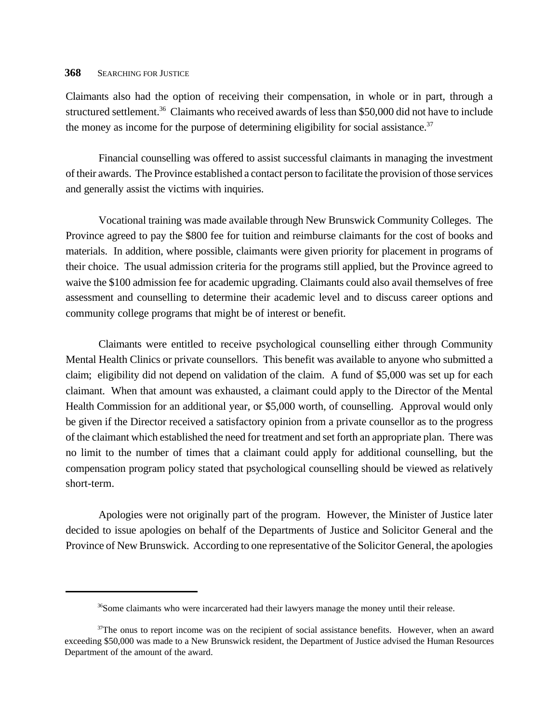Claimants also had the option of receiving their compensation, in whole or in part, through a structured settlement.<sup>36</sup> Claimants who received awards of less than \$50,000 did not have to include the money as income for the purpose of determining eligibility for social assistance.<sup>37</sup>

Financial counselling was offered to assist successful claimants in managing the investment of their awards. The Province established a contact person to facilitate the provision of those services and generally assist the victims with inquiries.

Vocational training was made available through New Brunswick Community Colleges. The Province agreed to pay the \$800 fee for tuition and reimburse claimants for the cost of books and materials. In addition, where possible, claimants were given priority for placement in programs of their choice. The usual admission criteria for the programs still applied, but the Province agreed to waive the \$100 admission fee for academic upgrading. Claimants could also avail themselves of free assessment and counselling to determine their academic level and to discuss career options and community college programs that might be of interest or benefit.

Claimants were entitled to receive psychological counselling either through Community Mental Health Clinics or private counsellors. This benefit was available to anyone who submitted a claim; eligibility did not depend on validation of the claim. A fund of \$5,000 was set up for each claimant. When that amount was exhausted, a claimant could apply to the Director of the Mental Health Commission for an additional year, or \$5,000 worth, of counselling. Approval would only be given if the Director received a satisfactory opinion from a private counsellor as to the progress of the claimant which established the need for treatment and set forth an appropriate plan. There was no limit to the number of times that a claimant could apply for additional counselling, but the compensation program policy stated that psychological counselling should be viewed as relatively short-term.

Apologies were not originally part of the program. However, the Minister of Justice later decided to issue apologies on behalf of the Departments of Justice and Solicitor General and the Province of New Brunswick. According to one representative of the Solicitor General, the apologies

<sup>&</sup>lt;sup>36</sup>Some claimants who were incarcerated had their lawyers manage the money until their release.

<sup>&</sup>lt;sup>37</sup>The onus to report income was on the recipient of social assistance benefits. However, when an award exceeding \$50,000 was made to a New Brunswick resident, the Department of Justice advised the Human Resources Department of the amount of the award.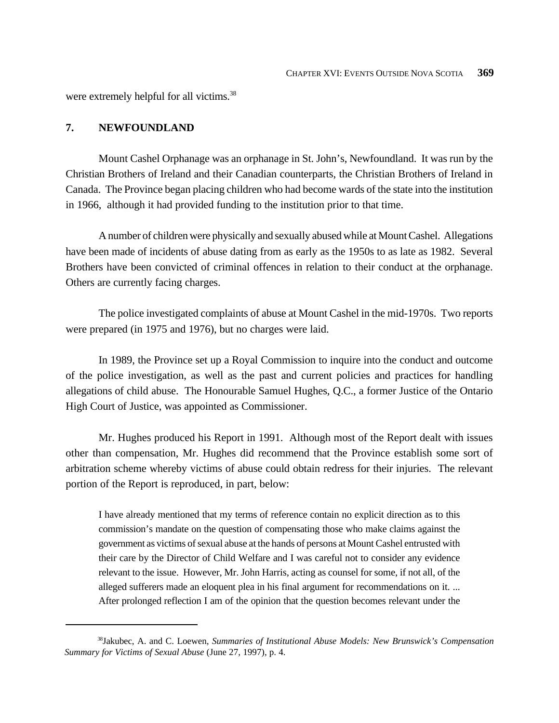were extremely helpful for all victims.<sup>38</sup>

# **7. NEWFOUNDLAND**

Mount Cashel Orphanage was an orphanage in St. John's, Newfoundland. It was run by the Christian Brothers of Ireland and their Canadian counterparts, the Christian Brothers of Ireland in Canada. The Province began placing children who had become wards of the state into the institution in 1966, although it had provided funding to the institution prior to that time.

A number of children were physically and sexually abused while at Mount Cashel. Allegations have been made of incidents of abuse dating from as early as the 1950s to as late as 1982. Several Brothers have been convicted of criminal offences in relation to their conduct at the orphanage. Others are currently facing charges.

The police investigated complaints of abuse at Mount Cashel in the mid-1970s. Two reports were prepared (in 1975 and 1976), but no charges were laid.

In 1989, the Province set up a Royal Commission to inquire into the conduct and outcome of the police investigation, as well as the past and current policies and practices for handling allegations of child abuse. The Honourable Samuel Hughes, Q.C., a former Justice of the Ontario High Court of Justice, was appointed as Commissioner.

Mr. Hughes produced his Report in 1991. Although most of the Report dealt with issues other than compensation, Mr. Hughes did recommend that the Province establish some sort of arbitration scheme whereby victims of abuse could obtain redress for their injuries. The relevant portion of the Report is reproduced, in part, below:

I have already mentioned that my terms of reference contain no explicit direction as to this commission's mandate on the question of compensating those who make claims against the government as victims of sexual abuse at the hands of persons at Mount Cashel entrusted with their care by the Director of Child Welfare and I was careful not to consider any evidence relevant to the issue. However, Mr. John Harris, acting as counsel for some, if not all, of the alleged sufferers made an eloquent plea in his final argument for recommendations on it. ... After prolonged reflection I am of the opinion that the question becomes relevant under the

<sup>38</sup>Jakubec, A. and C. Loewen, *Summaries of Institutional Abuse Models: New Brunswick's Compensation Summary for Victims of Sexual Abuse* (June 27, 1997), p. 4.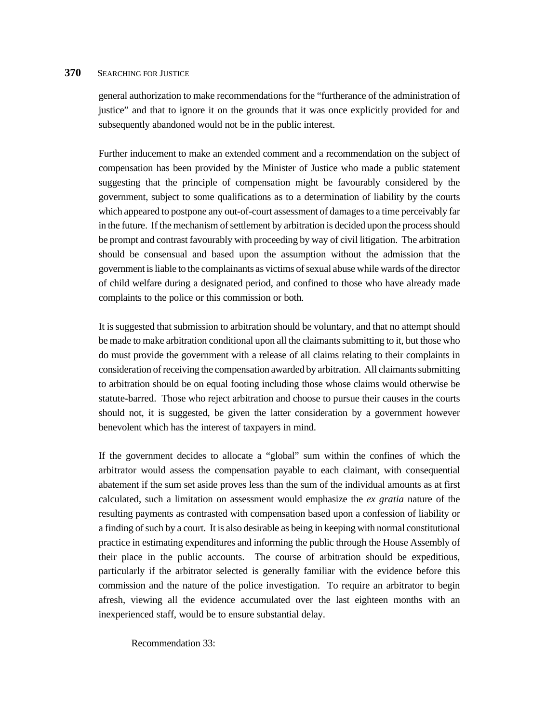general authorization to make recommendations for the "furtherance of the administration of justice" and that to ignore it on the grounds that it was once explicitly provided for and subsequently abandoned would not be in the public interest.

Further inducement to make an extended comment and a recommendation on the subject of compensation has been provided by the Minister of Justice who made a public statement suggesting that the principle of compensation might be favourably considered by the government, subject to some qualifications as to a determination of liability by the courts which appeared to postpone any out-of-court assessment of damages to a time perceivably far in the future. If the mechanism of settlement by arbitration is decided upon the process should be prompt and contrast favourably with proceeding by way of civil litigation. The arbitration should be consensual and based upon the assumption without the admission that the government is liable to the complainants as victims of sexual abuse while wards of the director of child welfare during a designated period, and confined to those who have already made complaints to the police or this commission or both.

It is suggested that submission to arbitration should be voluntary, and that no attempt should be made to make arbitration conditional upon all the claimants submitting to it, but those who do must provide the government with a release of all claims relating to their complaints in consideration of receiving the compensation awarded by arbitration. All claimants submitting to arbitration should be on equal footing including those whose claims would otherwise be statute-barred. Those who reject arbitration and choose to pursue their causes in the courts should not, it is suggested, be given the latter consideration by a government however benevolent which has the interest of taxpayers in mind.

If the government decides to allocate a "global" sum within the confines of which the arbitrator would assess the compensation payable to each claimant, with consequential abatement if the sum set aside proves less than the sum of the individual amounts as at first calculated, such a limitation on assessment would emphasize the *ex gratia* nature of the resulting payments as contrasted with compensation based upon a confession of liability or a finding of such by a court. It is also desirable as being in keeping with normal constitutional practice in estimating expenditures and informing the public through the House Assembly of their place in the public accounts. The course of arbitration should be expeditious, particularly if the arbitrator selected is generally familiar with the evidence before this commission and the nature of the police investigation. To require an arbitrator to begin afresh, viewing all the evidence accumulated over the last eighteen months with an inexperienced staff, would be to ensure substantial delay.

Recommendation 33: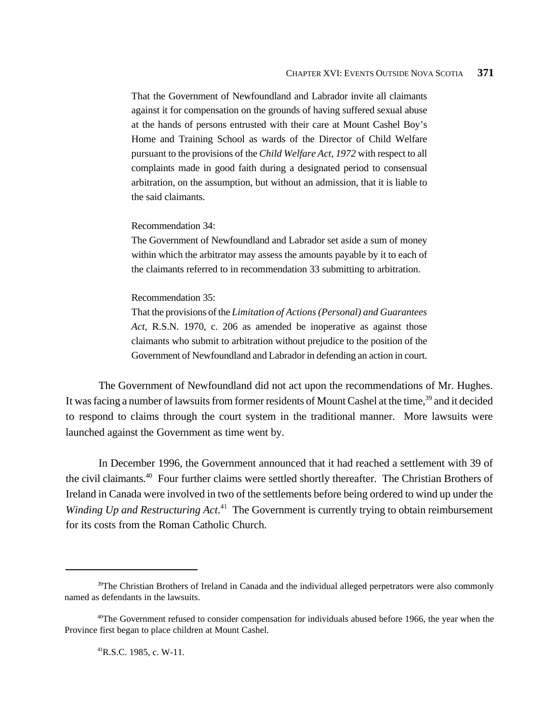#### CHAPTER XVI: EVENTS OUTSIDE NOVA SCOTIA **371**

That the Government of Newfoundland and Labrador invite all claimants against it for compensation on the grounds of having suffered sexual abuse at the hands of persons entrusted with their care at Mount Cashel Boy's Home and Training School as wards of the Director of Child Welfare pursuant to the provisions of the *Child Welfare Act, 1972* with respect to all complaints made in good faith during a designated period to consensual arbitration, on the assumption, but without an admission, that it is liable to the said claimants.

Recommendation 34:

The Government of Newfoundland and Labrador set aside a sum of money within which the arbitrator may assess the amounts payable by it to each of the claimants referred to in recommendation 33 submitting to arbitration.

Recommendation 35:

That the provisions of the *Limitation of Actions (Personal) and Guarantees Act,* R.S.N. 1970, c. 206 as amended be inoperative as against those claimants who submit to arbitration without prejudice to the position of the Government of Newfoundland and Labrador in defending an action in court.

The Government of Newfoundland did not act upon the recommendations of Mr. Hughes. It was facing a number of lawsuits from former residents of Mount Cashel at the time,<sup>39</sup> and it decided to respond to claims through the court system in the traditional manner. More lawsuits were launched against the Government as time went by.

In December 1996, the Government announced that it had reached a settlement with 39 of the civil claimants.<sup>40</sup> Four further claims were settled shortly thereafter. The Christian Brothers of Ireland in Canada were involved in two of the settlements before being ordered to wind up under the Winding Up and Restructuring Act.<sup>41</sup> The Government is currently trying to obtain reimbursement for its costs from the Roman Catholic Church.

 $^{41}$ R.S.C. 1985, c. W-11.

<sup>&</sup>lt;sup>39</sup>The Christian Brothers of Ireland in Canada and the individual alleged perpetrators were also commonly named as defendants in the lawsuits.

<sup>&</sup>lt;sup>40</sup>The Government refused to consider compensation for individuals abused before 1966, the year when the Province first began to place children at Mount Cashel.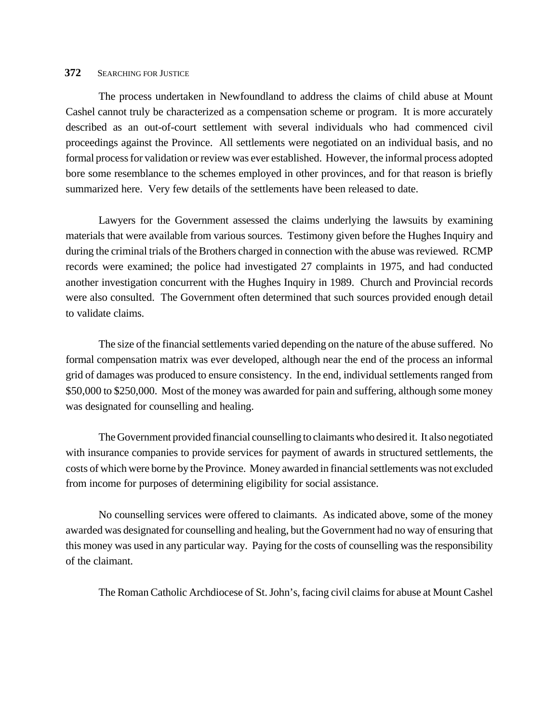The process undertaken in Newfoundland to address the claims of child abuse at Mount Cashel cannot truly be characterized as a compensation scheme or program. It is more accurately described as an out-of-court settlement with several individuals who had commenced civil proceedings against the Province. All settlements were negotiated on an individual basis, and no formal process for validation or review was ever established. However, the informal process adopted bore some resemblance to the schemes employed in other provinces, and for that reason is briefly summarized here. Very few details of the settlements have been released to date.

Lawyers for the Government assessed the claims underlying the lawsuits by examining materials that were available from various sources. Testimony given before the Hughes Inquiry and during the criminal trials of the Brothers charged in connection with the abuse was reviewed. RCMP records were examined; the police had investigated 27 complaints in 1975, and had conducted another investigation concurrent with the Hughes Inquiry in 1989. Church and Provincial records were also consulted. The Government often determined that such sources provided enough detail to validate claims.

The size of the financial settlements varied depending on the nature of the abuse suffered. No formal compensation matrix was ever developed, although near the end of the process an informal grid of damages was produced to ensure consistency. In the end, individual settlements ranged from \$50,000 to \$250,000. Most of the money was awarded for pain and suffering, although some money was designated for counselling and healing.

The Government provided financial counselling to claimants who desired it. It also negotiated with insurance companies to provide services for payment of awards in structured settlements, the costs of which were borne by the Province. Money awarded in financial settlements was not excluded from income for purposes of determining eligibility for social assistance.

No counselling services were offered to claimants. As indicated above, some of the money awarded was designated for counselling and healing, but the Government had no way of ensuring that this money was used in any particular way. Paying for the costs of counselling was the responsibility of the claimant.

The Roman Catholic Archdiocese of St. John's, facing civil claims for abuse at Mount Cashel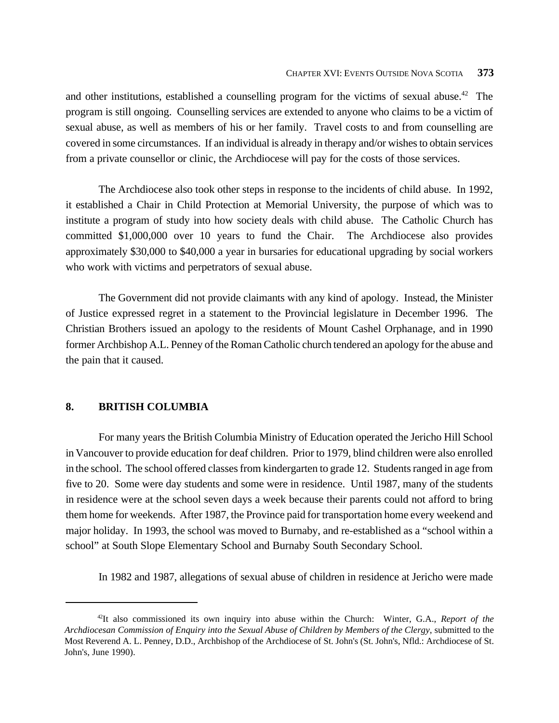and other institutions, established a counselling program for the victims of sexual abuse.<sup>42</sup> The program is still ongoing. Counselling services are extended to anyone who claims to be a victim of sexual abuse, as well as members of his or her family. Travel costs to and from counselling are covered in some circumstances. If an individual is already in therapy and/or wishes to obtain services from a private counsellor or clinic, the Archdiocese will pay for the costs of those services.

The Archdiocese also took other steps in response to the incidents of child abuse. In 1992, it established a Chair in Child Protection at Memorial University, the purpose of which was to institute a program of study into how society deals with child abuse. The Catholic Church has committed \$1,000,000 over 10 years to fund the Chair. The Archdiocese also provides approximately \$30,000 to \$40,000 a year in bursaries for educational upgrading by social workers who work with victims and perpetrators of sexual abuse.

The Government did not provide claimants with any kind of apology. Instead, the Minister of Justice expressed regret in a statement to the Provincial legislature in December 1996. The Christian Brothers issued an apology to the residents of Mount Cashel Orphanage, and in 1990 former Archbishop A.L. Penney of the Roman Catholic church tendered an apology for the abuse and the pain that it caused.

# **8. BRITISH COLUMBIA**

For many years the British Columbia Ministry of Education operated the Jericho Hill School in Vancouver to provide education for deaf children. Prior to 1979, blind children were also enrolled in the school. The school offered classes from kindergarten to grade 12. Students ranged in age from five to 20. Some were day students and some were in residence. Until 1987, many of the students in residence were at the school seven days a week because their parents could not afford to bring them home for weekends. After 1987, the Province paid for transportation home every weekend and major holiday. In 1993, the school was moved to Burnaby, and re-established as a "school within a school" at South Slope Elementary School and Burnaby South Secondary School.

In 1982 and 1987, allegations of sexual abuse of children in residence at Jericho were made

<sup>42</sup>It also commissioned its own inquiry into abuse within the Church: Winter, G.A., *Report of the Archdiocesan Commission of Enquiry into the Sexual Abuse of Children by Members of the Clergy*, submitted to the Most Reverend A. L. Penney, D.D., Archbishop of the Archdiocese of St. John's (St. John's, Nfld.: Archdiocese of St. John's, June 1990).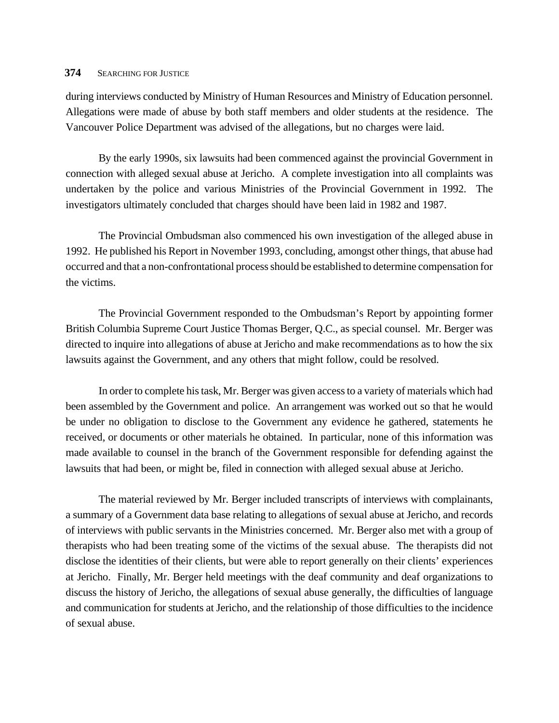during interviews conducted by Ministry of Human Resources and Ministry of Education personnel. Allegations were made of abuse by both staff members and older students at the residence. The Vancouver Police Department was advised of the allegations, but no charges were laid.

By the early 1990s, six lawsuits had been commenced against the provincial Government in connection with alleged sexual abuse at Jericho. A complete investigation into all complaints was undertaken by the police and various Ministries of the Provincial Government in 1992. The investigators ultimately concluded that charges should have been laid in 1982 and 1987.

The Provincial Ombudsman also commenced his own investigation of the alleged abuse in 1992. He published his Report in November 1993, concluding, amongst other things, that abuse had occurred and that a non-confrontational process should be established to determine compensation for the victims.

The Provincial Government responded to the Ombudsman's Report by appointing former British Columbia Supreme Court Justice Thomas Berger, Q.C., as special counsel. Mr. Berger was directed to inquire into allegations of abuse at Jericho and make recommendations as to how the six lawsuits against the Government, and any others that might follow, could be resolved.

In order to complete his task, Mr. Berger was given access to a variety of materials which had been assembled by the Government and police. An arrangement was worked out so that he would be under no obligation to disclose to the Government any evidence he gathered, statements he received, or documents or other materials he obtained. In particular, none of this information was made available to counsel in the branch of the Government responsible for defending against the lawsuits that had been, or might be, filed in connection with alleged sexual abuse at Jericho.

The material reviewed by Mr. Berger included transcripts of interviews with complainants, a summary of a Government data base relating to allegations of sexual abuse at Jericho, and records of interviews with public servants in the Ministries concerned. Mr. Berger also met with a group of therapists who had been treating some of the victims of the sexual abuse. The therapists did not disclose the identities of their clients, but were able to report generally on their clients' experiences at Jericho. Finally, Mr. Berger held meetings with the deaf community and deaf organizations to discuss the history of Jericho, the allegations of sexual abuse generally, the difficulties of language and communication for students at Jericho, and the relationship of those difficulties to the incidence of sexual abuse.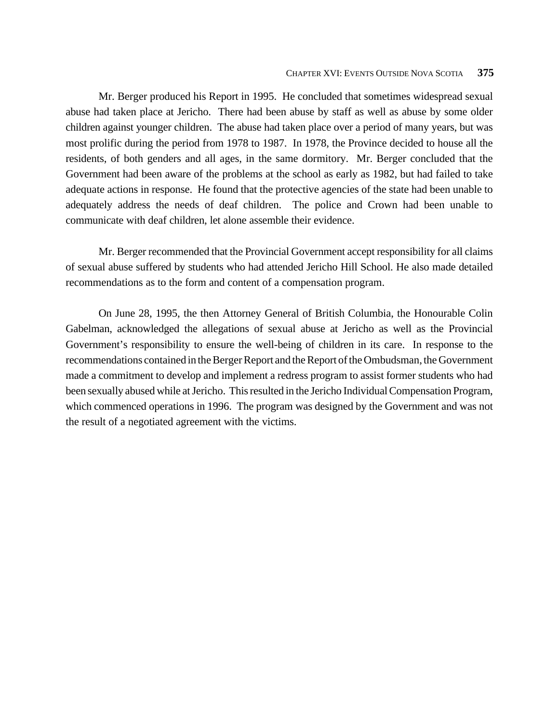Mr. Berger produced his Report in 1995. He concluded that sometimes widespread sexual abuse had taken place at Jericho. There had been abuse by staff as well as abuse by some older children against younger children. The abuse had taken place over a period of many years, but was most prolific during the period from 1978 to 1987. In 1978, the Province decided to house all the residents, of both genders and all ages, in the same dormitory. Mr. Berger concluded that the Government had been aware of the problems at the school as early as 1982, but had failed to take adequate actions in response. He found that the protective agencies of the state had been unable to adequately address the needs of deaf children. The police and Crown had been unable to communicate with deaf children, let alone assemble their evidence.

Mr. Berger recommended that the Provincial Government accept responsibility for all claims of sexual abuse suffered by students who had attended Jericho Hill School. He also made detailed recommendations as to the form and content of a compensation program.

On June 28, 1995, the then Attorney General of British Columbia, the Honourable Colin Gabelman, acknowledged the allegations of sexual abuse at Jericho as well as the Provincial Government's responsibility to ensure the well-being of children in its care. In response to the recommendations contained in the Berger Report and the Report of the Ombudsman, the Government made a commitment to develop and implement a redress program to assist former students who had been sexually abused while at Jericho. This resulted in the Jericho Individual Compensation Program, which commenced operations in 1996. The program was designed by the Government and was not the result of a negotiated agreement with the victims.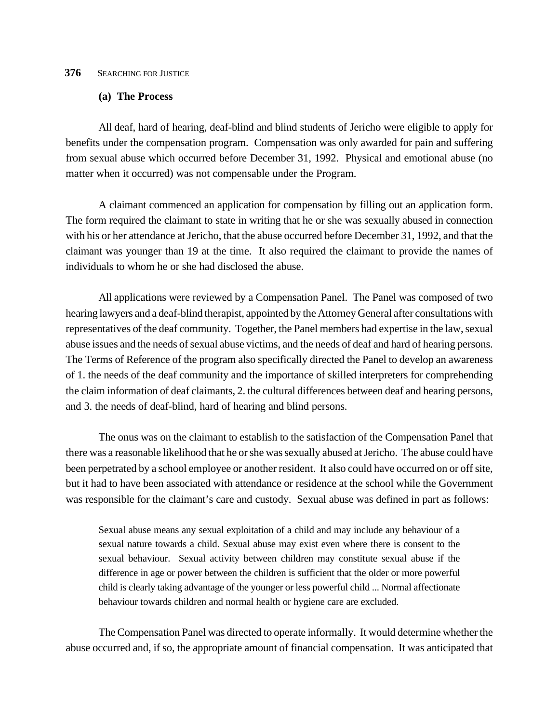#### **(a) The Process**

All deaf, hard of hearing, deaf-blind and blind students of Jericho were eligible to apply for benefits under the compensation program. Compensation was only awarded for pain and suffering from sexual abuse which occurred before December 31, 1992. Physical and emotional abuse (no matter when it occurred) was not compensable under the Program.

A claimant commenced an application for compensation by filling out an application form. The form required the claimant to state in writing that he or she was sexually abused in connection with his or her attendance at Jericho, that the abuse occurred before December 31, 1992, and that the claimant was younger than 19 at the time. It also required the claimant to provide the names of individuals to whom he or she had disclosed the abuse.

All applications were reviewed by a Compensation Panel. The Panel was composed of two hearing lawyers and a deaf-blind therapist, appointed by the Attorney General after consultations with representatives of the deaf community. Together, the Panel members had expertise in the law, sexual abuse issues and the needs of sexual abuse victims, and the needs of deaf and hard of hearing persons. The Terms of Reference of the program also specifically directed the Panel to develop an awareness of 1. the needs of the deaf community and the importance of skilled interpreters for comprehending the claim information of deaf claimants, 2. the cultural differences between deaf and hearing persons, and 3. the needs of deaf-blind, hard of hearing and blind persons.

The onus was on the claimant to establish to the satisfaction of the Compensation Panel that there was a reasonable likelihood that he or she was sexually abused at Jericho. The abuse could have been perpetrated by a school employee or another resident. It also could have occurred on or off site, but it had to have been associated with attendance or residence at the school while the Government was responsible for the claimant's care and custody. Sexual abuse was defined in part as follows:

Sexual abuse means any sexual exploitation of a child and may include any behaviour of a sexual nature towards a child. Sexual abuse may exist even where there is consent to the sexual behaviour. Sexual activity between children may constitute sexual abuse if the difference in age or power between the children is sufficient that the older or more powerful child is clearly taking advantage of the younger or less powerful child ... Normal affectionate behaviour towards children and normal health or hygiene care are excluded.

The Compensation Panel was directed to operate informally. It would determine whether the abuse occurred and, if so, the appropriate amount of financial compensation. It was anticipated that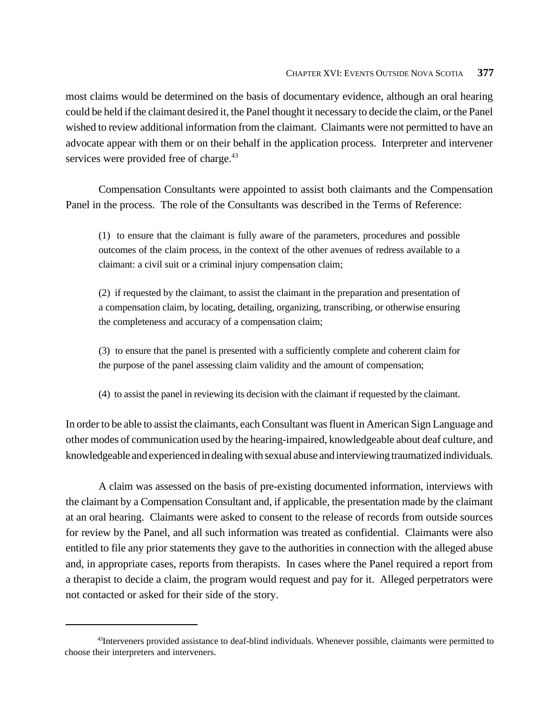most claims would be determined on the basis of documentary evidence, although an oral hearing could be held if the claimant desired it, the Panel thought it necessary to decide the claim, or the Panel wished to review additional information from the claimant. Claimants were not permitted to have an advocate appear with them or on their behalf in the application process. Interpreter and intervener services were provided free of charge.<sup>43</sup>

Compensation Consultants were appointed to assist both claimants and the Compensation Panel in the process. The role of the Consultants was described in the Terms of Reference:

(1) to ensure that the claimant is fully aware of the parameters, procedures and possible outcomes of the claim process, in the context of the other avenues of redress available to a claimant: a civil suit or a criminal injury compensation claim;

(2) if requested by the claimant, to assist the claimant in the preparation and presentation of a compensation claim, by locating, detailing, organizing, transcribing, or otherwise ensuring the completeness and accuracy of a compensation claim;

(3) to ensure that the panel is presented with a sufficiently complete and coherent claim for the purpose of the panel assessing claim validity and the amount of compensation;

(4) to assist the panel in reviewing its decision with the claimant if requested by the claimant.

In order to be able to assist the claimants, each Consultant was fluent in American Sign Language and other modes of communication used by the hearing-impaired, knowledgeable about deaf culture, and knowledgeable and experienced in dealing with sexual abuse and interviewing traumatized individuals.

A claim was assessed on the basis of pre-existing documented information, interviews with the claimant by a Compensation Consultant and, if applicable, the presentation made by the claimant at an oral hearing. Claimants were asked to consent to the release of records from outside sources for review by the Panel, and all such information was treated as confidential. Claimants were also entitled to file any prior statements they gave to the authorities in connection with the alleged abuse and, in appropriate cases, reports from therapists. In cases where the Panel required a report from a therapist to decide a claim, the program would request and pay for it. Alleged perpetrators were not contacted or asked for their side of the story.

<sup>&</sup>lt;sup>43</sup>Interveners provided assistance to deaf-blind individuals. Whenever possible, claimants were permitted to choose their interpreters and interveners.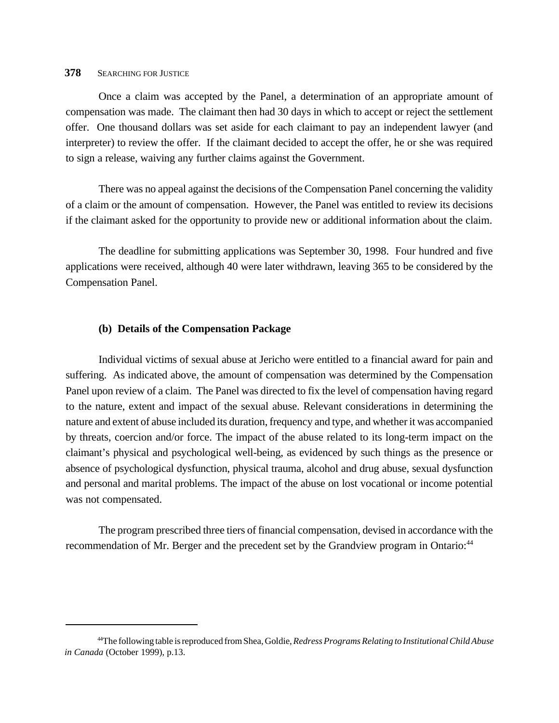Once a claim was accepted by the Panel, a determination of an appropriate amount of compensation was made. The claimant then had 30 days in which to accept or reject the settlement offer. One thousand dollars was set aside for each claimant to pay an independent lawyer (and interpreter) to review the offer. If the claimant decided to accept the offer, he or she was required to sign a release, waiving any further claims against the Government.

There was no appeal against the decisions of the Compensation Panel concerning the validity of a claim or the amount of compensation. However, the Panel was entitled to review its decisions if the claimant asked for the opportunity to provide new or additional information about the claim.

The deadline for submitting applications was September 30, 1998. Four hundred and five applications were received, although 40 were later withdrawn, leaving 365 to be considered by the Compensation Panel.

#### **(b) Details of the Compensation Package**

Individual victims of sexual abuse at Jericho were entitled to a financial award for pain and suffering. As indicated above, the amount of compensation was determined by the Compensation Panel upon review of a claim. The Panel was directed to fix the level of compensation having regard to the nature, extent and impact of the sexual abuse. Relevant considerations in determining the nature and extent of abuse included its duration, frequency and type, and whether it was accompanied by threats, coercion and/or force. The impact of the abuse related to its long-term impact on the claimant's physical and psychological well-being, as evidenced by such things as the presence or absence of psychological dysfunction, physical trauma, alcohol and drug abuse, sexual dysfunction and personal and marital problems. The impact of the abuse on lost vocational or income potential was not compensated.

The program prescribed three tiers of financial compensation, devised in accordance with the recommendation of Mr. Berger and the precedent set by the Grandview program in Ontario:<sup>44</sup>

<sup>44</sup>The following table is reproduced from Shea, Goldie, *Redress Programs Relating to Institutional Child Abuse in Canada* (October 1999), p.13.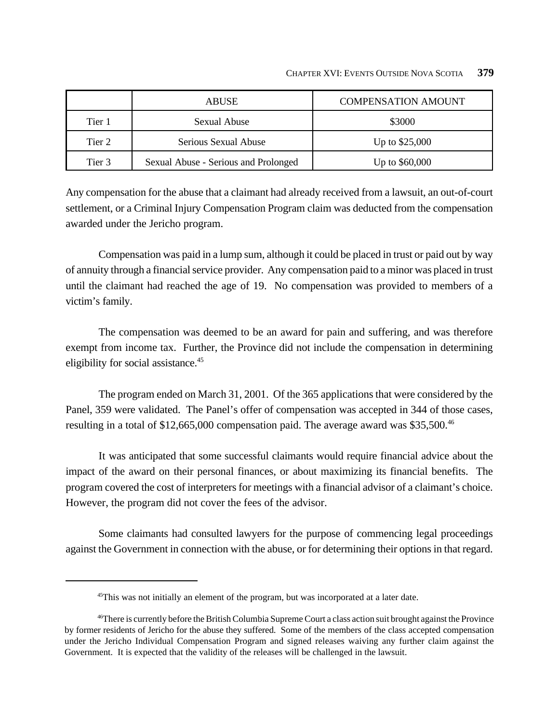|        | <b>ABUSE</b>                         | <b>COMPENSATION AMOUNT</b> |
|--------|--------------------------------------|----------------------------|
| Tier 1 | Sexual Abuse                         | \$3000                     |
| Tier 2 | Serious Sexual Abuse                 | Up to \$25,000             |
| Tier 3 | Sexual Abuse - Serious and Prolonged | Up to \$60,000             |

Any compensation for the abuse that a claimant had already received from a lawsuit, an out-of-court settlement, or a Criminal Injury Compensation Program claim was deducted from the compensation awarded under the Jericho program.

Compensation was paid in a lump sum, although it could be placed in trust or paid out by way of annuity through a financial service provider. Any compensation paid to a minor was placed in trust until the claimant had reached the age of 19. No compensation was provided to members of a victim's family.

The compensation was deemed to be an award for pain and suffering, and was therefore exempt from income tax. Further, the Province did not include the compensation in determining eligibility for social assistance.<sup>45</sup>

The program ended on March 31, 2001. Of the 365 applications that were considered by the Panel, 359 were validated. The Panel's offer of compensation was accepted in 344 of those cases, resulting in a total of \$12,665,000 compensation paid. The average award was \$35,500.<sup>46</sup>

It was anticipated that some successful claimants would require financial advice about the impact of the award on their personal finances, or about maximizing its financial benefits. The program covered the cost of interpreters for meetings with a financial advisor of a claimant's choice. However, the program did not cover the fees of the advisor.

Some claimants had consulted lawyers for the purpose of commencing legal proceedings against the Government in connection with the abuse, or for determining their options in that regard.

<sup>&</sup>lt;sup>45</sup>This was not initially an element of the program, but was incorporated at a later date.

<sup>&</sup>lt;sup>46</sup>There is currently before the British Columbia Supreme Court a class action suit brought against the Province by former residents of Jericho for the abuse they suffered. Some of the members of the class accepted compensation under the Jericho Individual Compensation Program and signed releases waiving any further claim against the Government. It is expected that the validity of the releases will be challenged in the lawsuit.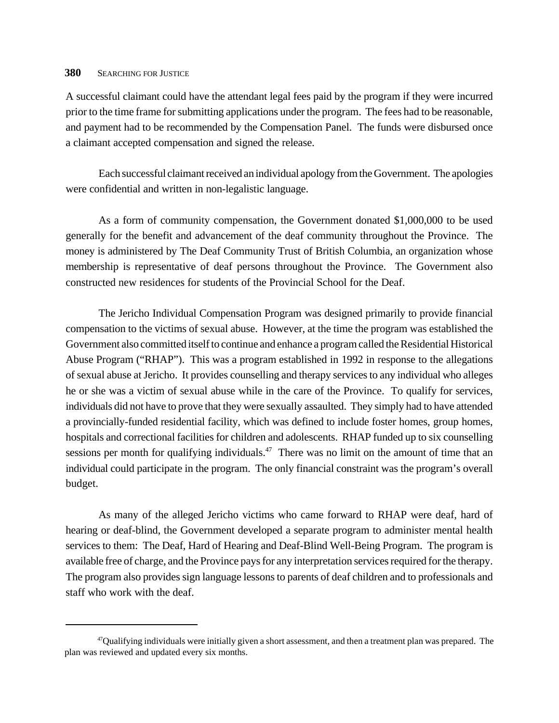A successful claimant could have the attendant legal fees paid by the program if they were incurred prior to the time frame for submitting applications under the program. The fees had to be reasonable, and payment had to be recommended by the Compensation Panel. The funds were disbursed once a claimant accepted compensation and signed the release.

Each successful claimant received an individual apology from the Government. The apologies were confidential and written in non-legalistic language.

As a form of community compensation, the Government donated \$1,000,000 to be used generally for the benefit and advancement of the deaf community throughout the Province. The money is administered by The Deaf Community Trust of British Columbia, an organization whose membership is representative of deaf persons throughout the Province. The Government also constructed new residences for students of the Provincial School for the Deaf.

The Jericho Individual Compensation Program was designed primarily to provide financial compensation to the victims of sexual abuse. However, at the time the program was established the Government also committed itself to continue and enhance a program called the Residential Historical Abuse Program ("RHAP"). This was a program established in 1992 in response to the allegations of sexual abuse at Jericho. It provides counselling and therapy services to any individual who alleges he or she was a victim of sexual abuse while in the care of the Province. To qualify for services, individuals did not have to prove that they were sexually assaulted. They simply had to have attended a provincially-funded residential facility, which was defined to include foster homes, group homes, hospitals and correctional facilities for children and adolescents. RHAP funded up to six counselling sessions per month for qualifying individuals.<sup>47</sup> There was no limit on the amount of time that an individual could participate in the program. The only financial constraint was the program's overall budget.

As many of the alleged Jericho victims who came forward to RHAP were deaf, hard of hearing or deaf-blind, the Government developed a separate program to administer mental health services to them: The Deaf, Hard of Hearing and Deaf-Blind Well-Being Program. The program is available free of charge, and the Province pays for any interpretation services required for the therapy. The program also provides sign language lessons to parents of deaf children and to professionals and staff who work with the deaf.

 $47$ Qualifying individuals were initially given a short assessment, and then a treatment plan was prepared. The plan was reviewed and updated every six months.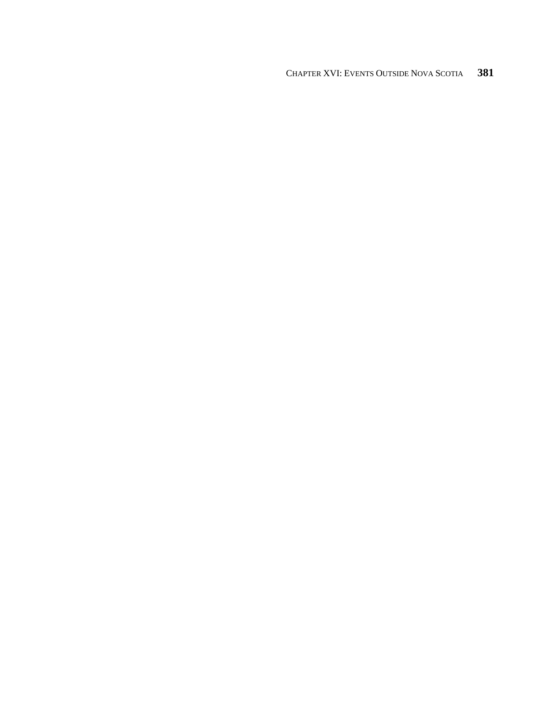# CHAPTER XVI: EVENTS OUTSIDE NOVA SCOTIA **381**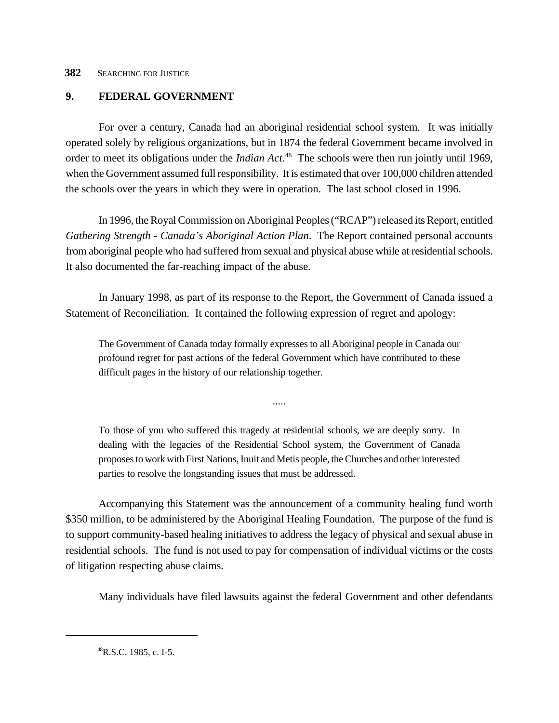## **9. FEDERAL GOVERNMENT**

For over a century, Canada had an aboriginal residential school system. It was initially operated solely by religious organizations, but in 1874 the federal Government became involved in order to meet its obligations under the *Indian Act*. <sup>48</sup> The schools were then run jointly until 1969, when the Government assumed full responsibility. It is estimated that over 100,000 children attended the schools over the years in which they were in operation. The last school closed in 1996.

In 1996, the Royal Commission on Aboriginal Peoples ("RCAP") released its Report, entitled *Gathering Strength - Canada's Aboriginal Action Plan*. The Report contained personal accounts from aboriginal people who had suffered from sexual and physical abuse while at residential schools. It also documented the far-reaching impact of the abuse.

In January 1998, as part of its response to the Report, the Government of Canada issued a Statement of Reconciliation. It contained the following expression of regret and apology:

The Government of Canada today formally expresses to all Aboriginal people in Canada our profound regret for past actions of the federal Government which have contributed to these difficult pages in the history of our relationship together.

.....

To those of you who suffered this tragedy at residential schools, we are deeply sorry. In dealing with the legacies of the Residential School system, the Government of Canada proposes to work with First Nations, Inuit and Metis people, the Churches and other interested parties to resolve the longstanding issues that must be addressed.

Accompanying this Statement was the announcement of a community healing fund worth \$350 million, to be administered by the Aboriginal Healing Foundation. The purpose of the fund is to support community-based healing initiatives to address the legacy of physical and sexual abuse in residential schools. The fund is not used to pay for compensation of individual victims or the costs of litigation respecting abuse claims.

Many individuals have filed lawsuits against the federal Government and other defendants

<sup>48</sup>R.S.C. 1985, c. I-5.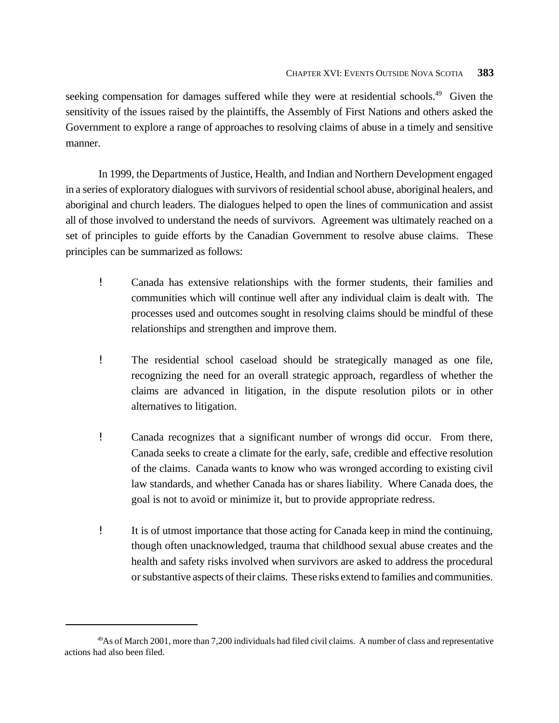seeking compensation for damages suffered while they were at residential schools.<sup>49</sup> Given the sensitivity of the issues raised by the plaintiffs, the Assembly of First Nations and others asked the Government to explore a range of approaches to resolving claims of abuse in a timely and sensitive manner.

In 1999, the Departments of Justice, Health, and Indian and Northern Development engaged in a series of exploratory dialogues with survivors of residential school abuse, aboriginal healers, and aboriginal and church leaders. The dialogues helped to open the lines of communication and assist all of those involved to understand the needs of survivors. Agreement was ultimately reached on a set of principles to guide efforts by the Canadian Government to resolve abuse claims. These principles can be summarized as follows:

- ! Canada has extensive relationships with the former students, their families and communities which will continue well after any individual claim is dealt with. The processes used and outcomes sought in resolving claims should be mindful of these relationships and strengthen and improve them.
- ! The residential school caseload should be strategically managed as one file, recognizing the need for an overall strategic approach, regardless of whether the claims are advanced in litigation, in the dispute resolution pilots or in other alternatives to litigation.
- ! Canada recognizes that a significant number of wrongs did occur. From there, Canada seeks to create a climate for the early, safe, credible and effective resolution of the claims. Canada wants to know who was wronged according to existing civil law standards, and whether Canada has or shares liability. Where Canada does, the goal is not to avoid or minimize it, but to provide appropriate redress.
- ! It is of utmost importance that those acting for Canada keep in mind the continuing, though often unacknowledged, trauma that childhood sexual abuse creates and the health and safety risks involved when survivors are asked to address the procedural or substantive aspects of their claims. These risks extend to families and communities.

 $^{49}$ As of March 2001, more than 7,200 individuals had filed civil claims. A number of class and representative actions had also been filed.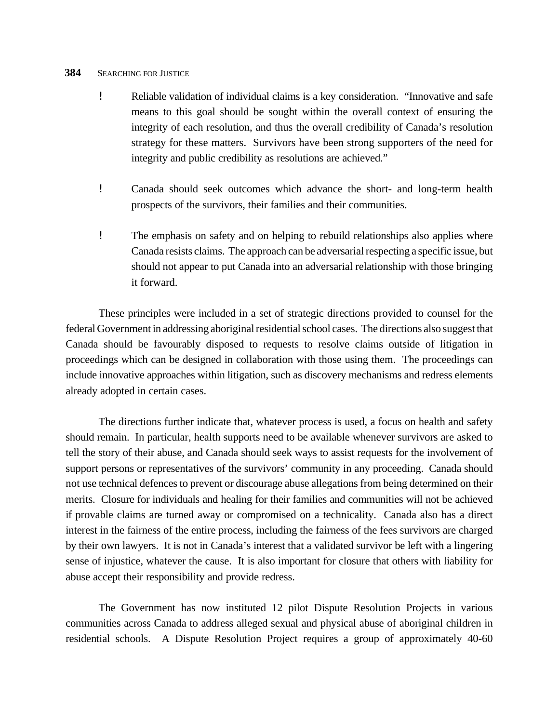- ! Reliable validation of individual claims is a key consideration. "Innovative and safe means to this goal should be sought within the overall context of ensuring the integrity of each resolution, and thus the overall credibility of Canada's resolution strategy for these matters. Survivors have been strong supporters of the need for integrity and public credibility as resolutions are achieved."
- ! Canada should seek outcomes which advance the short- and long-term health prospects of the survivors, their families and their communities.
- ! The emphasis on safety and on helping to rebuild relationships also applies where Canada resists claims. The approach can be adversarial respecting a specific issue, but should not appear to put Canada into an adversarial relationship with those bringing it forward.

These principles were included in a set of strategic directions provided to counsel for the federal Government in addressing aboriginal residential school cases. The directions also suggest that Canada should be favourably disposed to requests to resolve claims outside of litigation in proceedings which can be designed in collaboration with those using them. The proceedings can include innovative approaches within litigation, such as discovery mechanisms and redress elements already adopted in certain cases.

The directions further indicate that, whatever process is used, a focus on health and safety should remain. In particular, health supports need to be available whenever survivors are asked to tell the story of their abuse, and Canada should seek ways to assist requests for the involvement of support persons or representatives of the survivors' community in any proceeding. Canada should not use technical defences to prevent or discourage abuse allegations from being determined on their merits. Closure for individuals and healing for their families and communities will not be achieved if provable claims are turned away or compromised on a technicality. Canada also has a direct interest in the fairness of the entire process, including the fairness of the fees survivors are charged by their own lawyers. It is not in Canada's interest that a validated survivor be left with a lingering sense of injustice, whatever the cause. It is also important for closure that others with liability for abuse accept their responsibility and provide redress.

The Government has now instituted 12 pilot Dispute Resolution Projects in various communities across Canada to address alleged sexual and physical abuse of aboriginal children in residential schools. A Dispute Resolution Project requires a group of approximately 40-60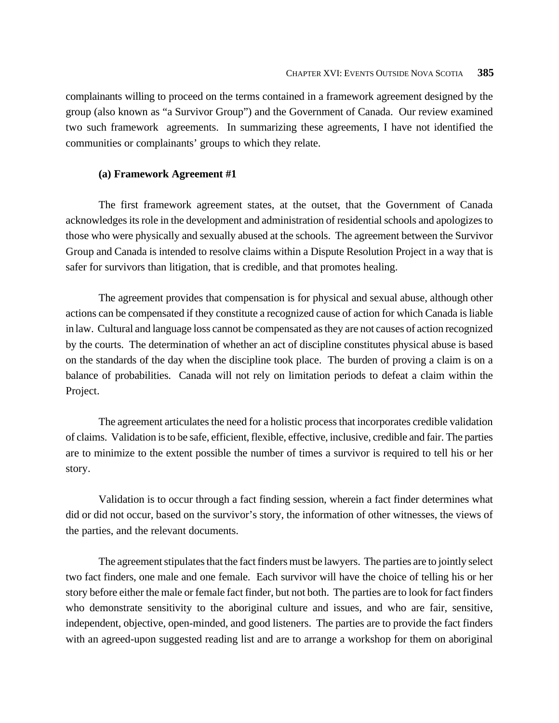complainants willing to proceed on the terms contained in a framework agreement designed by the group (also known as "a Survivor Group") and the Government of Canada. Our review examined two such framework agreements. In summarizing these agreements, I have not identified the communities or complainants' groups to which they relate.

#### **(a) Framework Agreement #1**

The first framework agreement states, at the outset, that the Government of Canada acknowledges its role in the development and administration of residential schools and apologizes to those who were physically and sexually abused at the schools. The agreement between the Survivor Group and Canada is intended to resolve claims within a Dispute Resolution Project in a way that is safer for survivors than litigation, that is credible, and that promotes healing.

The agreement provides that compensation is for physical and sexual abuse, although other actions can be compensated if they constitute a recognized cause of action for which Canada is liable in law. Cultural and language loss cannot be compensated as they are not causes of action recognized by the courts. The determination of whether an act of discipline constitutes physical abuse is based on the standards of the day when the discipline took place. The burden of proving a claim is on a balance of probabilities. Canada will not rely on limitation periods to defeat a claim within the Project.

The agreement articulates the need for a holistic process that incorporates credible validation of claims. Validation is to be safe, efficient, flexible, effective, inclusive, credible and fair. The parties are to minimize to the extent possible the number of times a survivor is required to tell his or her story.

Validation is to occur through a fact finding session, wherein a fact finder determines what did or did not occur, based on the survivor's story, the information of other witnesses, the views of the parties, and the relevant documents.

The agreement stipulates that the fact finders must be lawyers. The parties are to jointly select two fact finders, one male and one female. Each survivor will have the choice of telling his or her story before either the male or female fact finder, but not both. The parties are to look for fact finders who demonstrate sensitivity to the aboriginal culture and issues, and who are fair, sensitive, independent, objective, open-minded, and good listeners. The parties are to provide the fact finders with an agreed-upon suggested reading list and are to arrange a workshop for them on aboriginal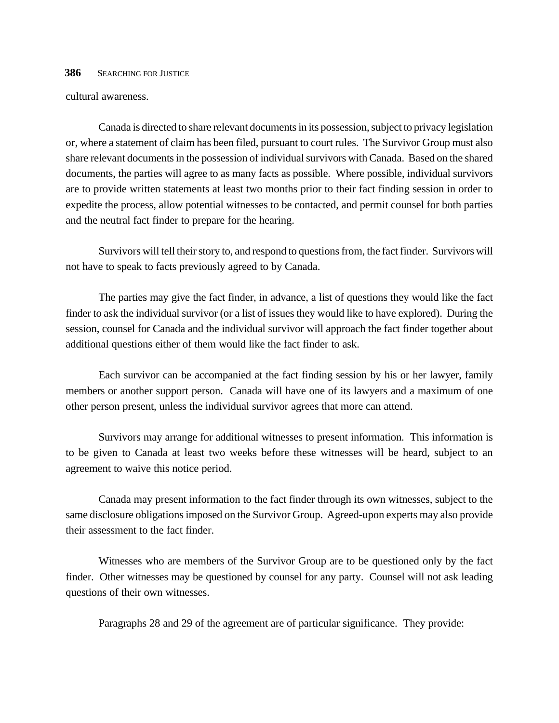cultural awareness.

Canada is directed to share relevant documents in its possession, subject to privacy legislation or, where a statement of claim has been filed, pursuant to court rules. The Survivor Group must also share relevant documents in the possession of individual survivors with Canada. Based on the shared documents, the parties will agree to as many facts as possible. Where possible, individual survivors are to provide written statements at least two months prior to their fact finding session in order to expedite the process, allow potential witnesses to be contacted, and permit counsel for both parties and the neutral fact finder to prepare for the hearing.

Survivors will tell their story to, and respond to questions from, the fact finder. Survivors will not have to speak to facts previously agreed to by Canada.

The parties may give the fact finder, in advance, a list of questions they would like the fact finder to ask the individual survivor (or a list of issues they would like to have explored). During the session, counsel for Canada and the individual survivor will approach the fact finder together about additional questions either of them would like the fact finder to ask.

Each survivor can be accompanied at the fact finding session by his or her lawyer, family members or another support person. Canada will have one of its lawyers and a maximum of one other person present, unless the individual survivor agrees that more can attend.

Survivors may arrange for additional witnesses to present information. This information is to be given to Canada at least two weeks before these witnesses will be heard, subject to an agreement to waive this notice period.

Canada may present information to the fact finder through its own witnesses, subject to the same disclosure obligations imposed on the Survivor Group. Agreed-upon experts may also provide their assessment to the fact finder.

Witnesses who are members of the Survivor Group are to be questioned only by the fact finder. Other witnesses may be questioned by counsel for any party. Counsel will not ask leading questions of their own witnesses.

Paragraphs 28 and 29 of the agreement are of particular significance. They provide: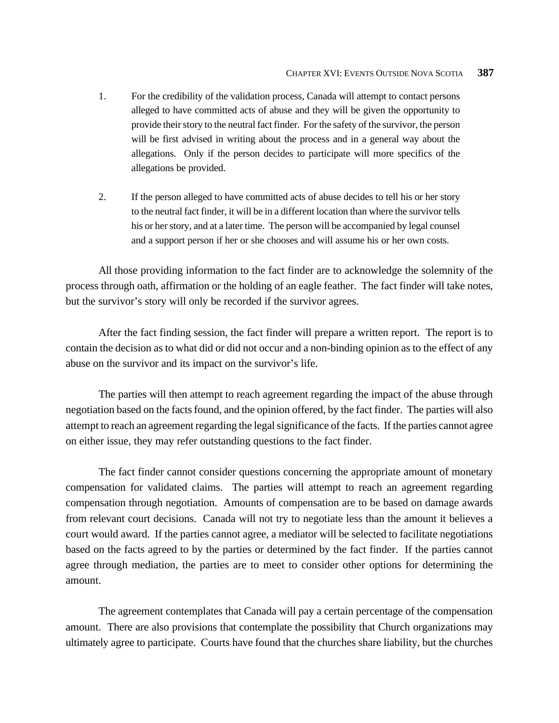- 1. For the credibility of the validation process, Canada will attempt to contact persons alleged to have committed acts of abuse and they will be given the opportunity to provide their story to the neutral fact finder. For the safety of the survivor, the person will be first advised in writing about the process and in a general way about the allegations. Only if the person decides to participate will more specifics of the allegations be provided.
- 2. If the person alleged to have committed acts of abuse decides to tell his or her story to the neutral fact finder, it will be in a different location than where the survivor tells his or her story, and at a later time. The person will be accompanied by legal counsel and a support person if her or she chooses and will assume his or her own costs.

All those providing information to the fact finder are to acknowledge the solemnity of the process through oath, affirmation or the holding of an eagle feather. The fact finder will take notes, but the survivor's story will only be recorded if the survivor agrees.

After the fact finding session, the fact finder will prepare a written report. The report is to contain the decision as to what did or did not occur and a non-binding opinion as to the effect of any abuse on the survivor and its impact on the survivor's life.

The parties will then attempt to reach agreement regarding the impact of the abuse through negotiation based on the facts found, and the opinion offered, by the fact finder. The parties will also attempt to reach an agreement regarding the legal significance of the facts. If the parties cannot agree on either issue, they may refer outstanding questions to the fact finder.

The fact finder cannot consider questions concerning the appropriate amount of monetary compensation for validated claims. The parties will attempt to reach an agreement regarding compensation through negotiation. Amounts of compensation are to be based on damage awards from relevant court decisions. Canada will not try to negotiate less than the amount it believes a court would award. If the parties cannot agree, a mediator will be selected to facilitate negotiations based on the facts agreed to by the parties or determined by the fact finder. If the parties cannot agree through mediation, the parties are to meet to consider other options for determining the amount.

The agreement contemplates that Canada will pay a certain percentage of the compensation amount. There are also provisions that contemplate the possibility that Church organizations may ultimately agree to participate. Courts have found that the churches share liability, but the churches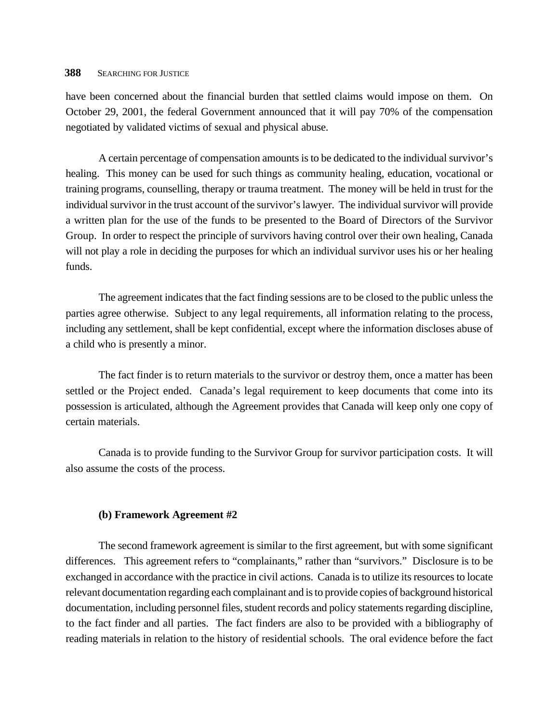have been concerned about the financial burden that settled claims would impose on them. On October 29, 2001, the federal Government announced that it will pay 70% of the compensation negotiated by validated victims of sexual and physical abuse.

A certain percentage of compensation amounts is to be dedicated to the individual survivor's healing. This money can be used for such things as community healing, education, vocational or training programs, counselling, therapy or trauma treatment. The money will be held in trust for the individual survivor in the trust account of the survivor's lawyer. The individual survivor will provide a written plan for the use of the funds to be presented to the Board of Directors of the Survivor Group. In order to respect the principle of survivors having control over their own healing, Canada will not play a role in deciding the purposes for which an individual survivor uses his or her healing funds.

The agreement indicates that the fact finding sessions are to be closed to the public unless the parties agree otherwise. Subject to any legal requirements, all information relating to the process, including any settlement, shall be kept confidential, except where the information discloses abuse of a child who is presently a minor.

The fact finder is to return materials to the survivor or destroy them, once a matter has been settled or the Project ended. Canada's legal requirement to keep documents that come into its possession is articulated, although the Agreement provides that Canada will keep only one copy of certain materials.

Canada is to provide funding to the Survivor Group for survivor participation costs. It will also assume the costs of the process.

#### **(b) Framework Agreement #2**

The second framework agreement is similar to the first agreement, but with some significant differences. This agreement refers to "complainants," rather than "survivors." Disclosure is to be exchanged in accordance with the practice in civil actions. Canada is to utilize its resources to locate relevant documentation regarding each complainant and is to provide copies of background historical documentation, including personnel files, student records and policy statements regarding discipline, to the fact finder and all parties. The fact finders are also to be provided with a bibliography of reading materials in relation to the history of residential schools. The oral evidence before the fact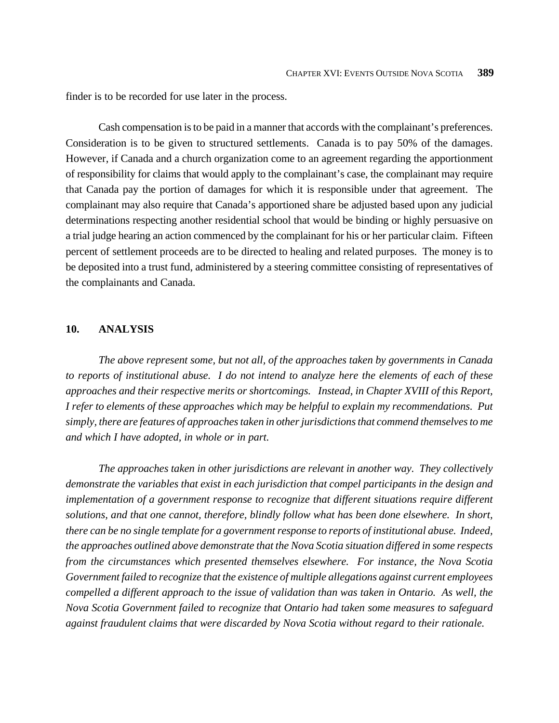finder is to be recorded for use later in the process.

Cash compensation is to be paid in a manner that accords with the complainant's preferences. Consideration is to be given to structured settlements. Canada is to pay 50% of the damages. However, if Canada and a church organization come to an agreement regarding the apportionment of responsibility for claims that would apply to the complainant's case, the complainant may require that Canada pay the portion of damages for which it is responsible under that agreement. The complainant may also require that Canada's apportioned share be adjusted based upon any judicial determinations respecting another residential school that would be binding or highly persuasive on a trial judge hearing an action commenced by the complainant for his or her particular claim. Fifteen percent of settlement proceeds are to be directed to healing and related purposes. The money is to be deposited into a trust fund, administered by a steering committee consisting of representatives of the complainants and Canada.

#### **10. ANALYSIS**

*The above represent some, but not all, of the approaches taken by governments in Canada to reports of institutional abuse. I do not intend to analyze here the elements of each of these approaches and their respective merits or shortcomings. Instead, in Chapter XVIII of this Report, I refer to elements of these approaches which may be helpful to explain my recommendations. Put simply, there are features of approaches taken in other jurisdictions that commend themselves to me and which I have adopted, in whole or in part.* 

*The approaches taken in other jurisdictions are relevant in another way. They collectively demonstrate the variables that exist in each jurisdiction that compel participants in the design and implementation of a government response to recognize that different situations require different solutions, and that one cannot, therefore, blindly follow what has been done elsewhere. In short, there can be no single template for a government response to reports of institutional abuse. Indeed, the approaches outlined above demonstrate that the Nova Scotia situation differed in some respects from the circumstances which presented themselves elsewhere. For instance, the Nova Scotia Government failed to recognize that the existence of multiple allegations against current employees compelled a different approach to the issue of validation than was taken in Ontario. As well, the Nova Scotia Government failed to recognize that Ontario had taken some measures to safeguard against fraudulent claims that were discarded by Nova Scotia without regard to their rationale.*